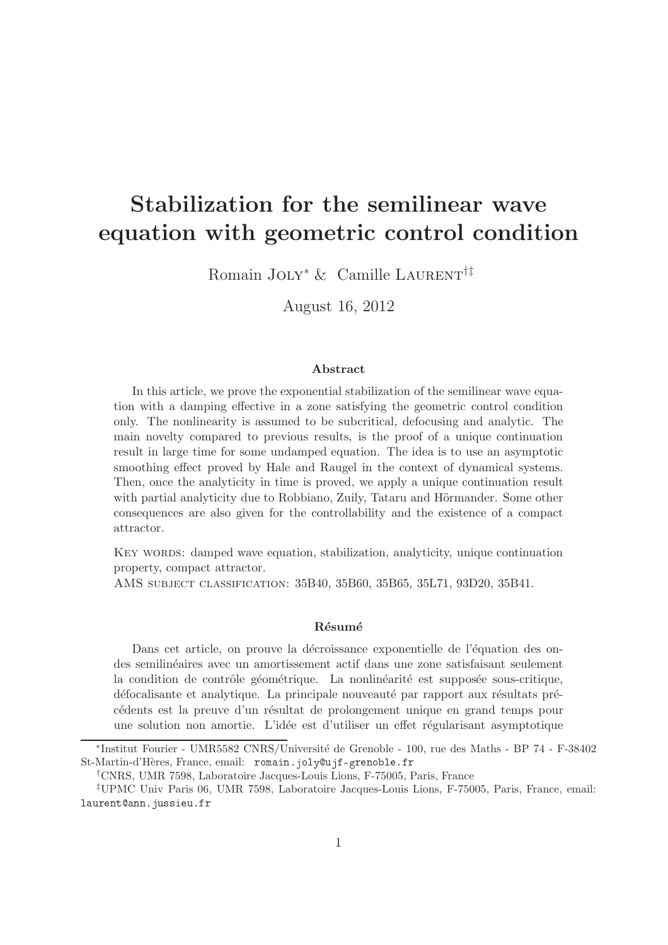# Stabilization for the semilinear wave equation with geometric control condition

Romain JOLY<sup>\*</sup> & Camille LAURENT<sup>†‡</sup>

August 16, 2012

#### Abstract

In this article, we prove the exponential stabilization of the semilinear wave equation with a damping effective in a zone satisfying the geometric control condition only. The nonlinearity is assumed to be subcritical, defocusing and analytic. The main novelty compared to previous results, is the proof of a unique continuation result in large time for some undamped equation. The idea is to use an asymptotic smoothing effect proved by Hale and Raugel in the context of dynamical systems. Then, once the analyticity in time is proved, we apply a unique continuation result with partial analyticity due to Robbiano, Zuily, Tataru and Hörmander. Some other consequences are also given for the controllability and the existence of a compact attractor.

KEY WORDS: damped wave equation, stabilization, analyticity, unique continuation property, compact attractor.

AMS subject classification: 35B40, 35B60, 35B65, 35L71, 93D20, 35B41.

#### Résumé

Dans cet article, on prouve la décroissance exponentielle de l'équation des ondes semilin´eaires avec un amortissement actif dans une zone satisfaisant seulement la condition de contrôle géométrique. La nonlinéarité est supposée sous-critique, défocalisante et analytique. La principale nouveauté par rapport aux résultats précédents est la preuve d'un résultat de prolongement unique en grand temps pour une solution non amortie. L'idée est d'utiliser un effet régularisant asymptotique

<sup>\*</sup>Institut Fourier - UMR5582 CNRS/Université de Grenoble - 100, rue des Maths - BP 74 - F-38402 St-Martin-d'Hères, France, email: romain.joly@ujf-grenoble.fr

<sup>†</sup>CNRS, UMR 7598, Laboratoire Jacques-Louis Lions, F-75005, Paris, France

<sup>‡</sup>UPMC Univ Paris 06, UMR 7598, Laboratoire Jacques-Louis Lions, F-75005, Paris, France, email: laurent@ann.jussieu.fr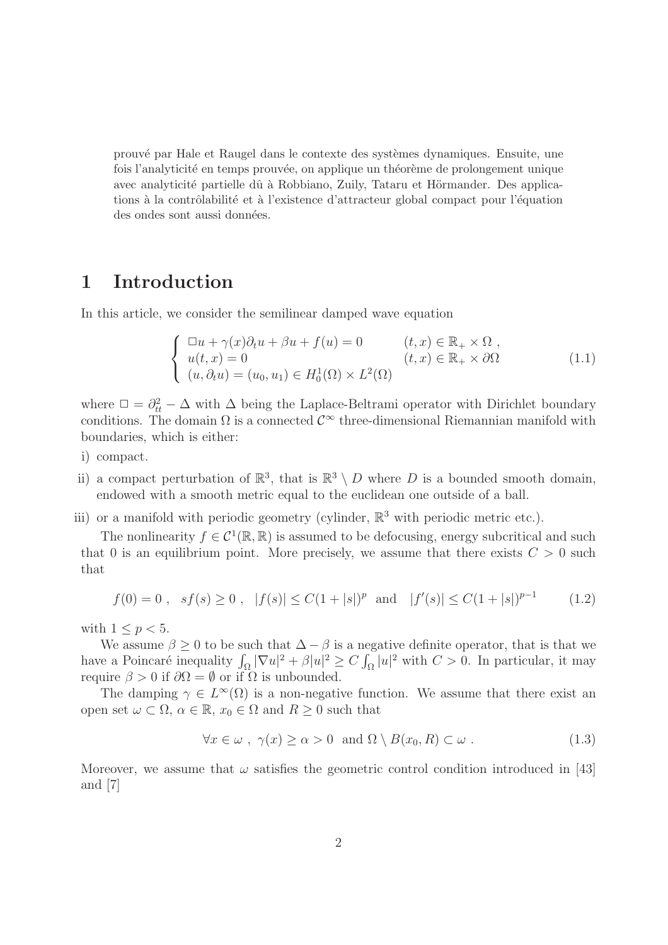prouvé par Hale et Raugel dans le contexte des systèmes dynamiques. Ensuite, une fois l'analyticité en temps prouvée, on applique un théorème de prolongement unique avec analyticité partielle dû à Robbiano, Zuily, Tataru et Hörmander. Des applications à la contrôlabilité et à l'existence d'attracteur global compact pour l'équation des ondes sont aussi données.

## 1 Introduction

In this article, we consider the semilinear damped wave equation

$$
\begin{cases}\n\Box u + \gamma(x)\partial_t u + \beta u + f(u) = 0 & (t, x) \in \mathbb{R}_+ \times \Omega, \\
u(t, x) = 0 & (t, x) \in \mathbb{R}_+ \times \partial\Omega \\
(u, \partial_t u) = (u_0, u_1) \in H_0^1(\Omega) \times L^2(\Omega)\n\end{cases}
$$
\n(1.1)

where  $\Box = \partial_{tt}^2 - \Delta$  with  $\Delta$  being the Laplace-Beltrami operator with Dirichlet boundary conditions. The domain  $\Omega$  is a connected  $\mathcal{C}^{\infty}$  three-dimensional Riemannian manifold with boundaries, which is either:

- i) compact.
- ii) a compact perturbation of  $\mathbb{R}^3$ , that is  $\mathbb{R}^3 \setminus D$  where D is a bounded smooth domain, endowed with a smooth metric equal to the euclidean one outside of a ball.
- iii) or a manifold with periodic geometry (cylinder,  $\mathbb{R}^3$  with periodic metric etc.).

The nonlinearity  $f \in C^1(\mathbb{R}, \mathbb{R})$  is assumed to be defocusing, energy subcritical and such that 0 is an equilibrium point. More precisely, we assume that there exists  $C > 0$  such that

$$
f(0) = 0
$$
,  $sf(s) \ge 0$ ,  $|f(s)| \le C(1+|s|)^p$  and  $|f'(s)| \le C(1+|s|)^{p-1}$  (1.2)

with  $1 \leq p \leq 5$ .

We assume  $\beta \geq 0$  to be such that  $\Delta - \beta$  is a negative definite operator, that is that we have a Poincaré inequality  $\int_{\Omega} |\nabla u|^2 + \beta |u|^2 \ge C \int_{\Omega} |u|^2$  with  $C > 0$ . In particular, it may require  $\beta > 0$  if  $\partial \Omega = \emptyset$  or if  $\Omega$  is unbounded.

The damping  $\gamma \in L^{\infty}(\Omega)$  is a non-negative function. We assume that there exist an open set  $\omega \subset \Omega$ ,  $\alpha \in \mathbb{R}$ ,  $x_0 \in \Omega$  and  $R \geq 0$  such that

$$
\forall x \in \omega \; , \; \gamma(x) \ge \alpha > 0 \text{ and } \Omega \setminus B(x_0, R) \subset \omega \; . \tag{1.3}
$$

Moreover, we assume that  $\omega$  satisfies the geometric control condition introduced in [43] and [7]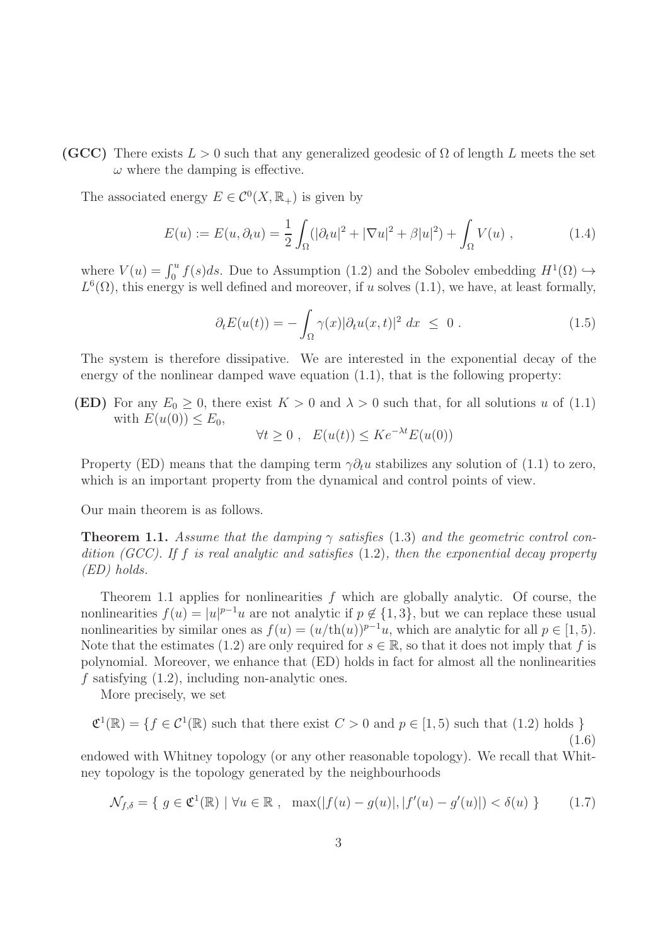(GCC) There exists  $L > 0$  such that any generalized geodesic of  $\Omega$  of length L meets the set  $\omega$  where the damping is effective.

The associated energy  $E \in C^0(X, \mathbb{R}_+)$  is given by

$$
E(u) := E(u, \partial_t u) = \frac{1}{2} \int_{\Omega} (|\partial_t u|^2 + |\nabla u|^2 + \beta |u|^2) + \int_{\Omega} V(u) , \qquad (1.4)
$$

where  $V(u) = \int_0^u f(s)ds$ . Due to Assumption (1.2) and the Sobolev embedding  $H^1(\Omega) \hookrightarrow$  $L^{6}(\Omega)$ , this energy is well defined and moreover, if u solves (1.1), we have, at least formally,

$$
\partial_t E(u(t)) = -\int_{\Omega} \gamma(x) |\partial_t u(x, t)|^2 dx \leq 0.
$$
 (1.5)

The system is therefore dissipative. We are interested in the exponential decay of the energy of the nonlinear damped wave equation (1.1), that is the following property:

**(ED)** For any  $E_0 \geq 0$ , there exist  $K > 0$  and  $\lambda > 0$  such that, for all solutions u of (1.1) with  $E(u(0)) \leq E_0$ ,

$$
\forall t \ge 0 , \quad E(u(t)) \le Ke^{-\lambda t} E(u(0))
$$

Property (ED) means that the damping term  $\gamma \partial_t u$  stabilizes any solution of (1.1) to zero, which is an important property from the dynamical and control points of view.

Our main theorem is as follows.

**Theorem 1.1.** Assume that the damping  $\gamma$  satisfies (1.3) and the geometric control condition (GCC). If f is real analytic and satisfies  $(1.2)$ , then the exponential decay property (ED) holds.

Theorem 1.1 applies for nonlinearities  $f$  which are globally analytic. Of course, the nonlinearities  $f(u) = |u|^{p-1}u$  are not analytic if  $p \notin \{1, 3\}$ , but we can replace these usual nonlinearities by similar ones as  $f(u) = (u/\text{th}(u))^{p-1}u$ , which are analytic for all  $p \in [1, 5)$ . Note that the estimates (1.2) are only required for  $s \in \mathbb{R}$ , so that it does not imply that f is polynomial. Moreover, we enhance that (ED) holds in fact for almost all the nonlinearities  $f$  satisfying  $(1.2)$ , including non-analytic ones.

More precisely, we set

$$
\mathfrak{C}^1(\mathbb{R}) = \{ f \in \mathcal{C}^1(\mathbb{R}) \text{ such that there exist } C > 0 \text{ and } p \in [1, 5) \text{ such that } (1.2) \text{ holds } \}
$$
\n(1.6)

\nendowed with Whitney topology (or any other reasonable topology). We recall that Whit-

ney topology is the topology generated by the neighbourhoods

$$
\mathcal{N}_{f,\delta} = \{ g \in \mathfrak{C}^1(\mathbb{R}) \mid \forall u \in \mathbb{R} , \ \max(|f(u) - g(u)|, |f'(u) - g'(u)|) < \delta(u) \}
$$
(1.7)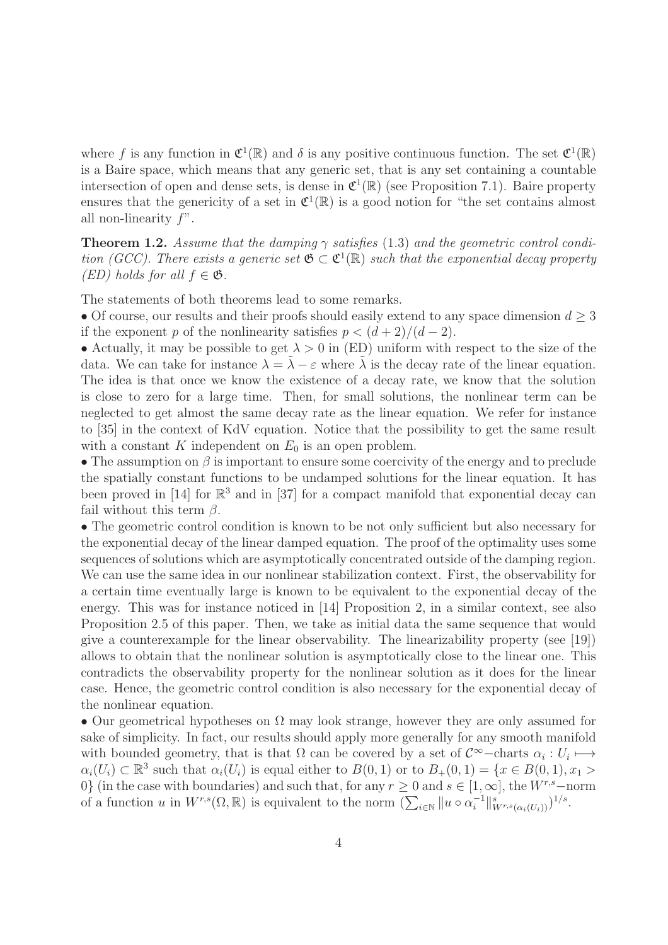where f is any function in  $\mathfrak{C}^1(\mathbb{R})$  and  $\delta$  is any positive continuous function. The set  $\mathfrak{C}^1(\mathbb{R})$ is a Baire space, which means that any generic set, that is any set containing a countable intersection of open and dense sets, is dense in  $\mathfrak{C}^1(\mathbb{R})$  (see Proposition 7.1). Baire property ensures that the genericity of a set in  $\mathfrak{C}^1(\mathbb{R})$  is a good notion for "the set contains almost all non-linearity  $f$ ".

**Theorem 1.2.** Assume that the damping  $\gamma$  satisfies (1.3) and the geometric control condition (GCC). There exists a generic set  $\mathfrak{G} \subset \mathfrak{C}^1(\mathbb{R})$  such that the exponential decay property  $(ED)$  holds for all  $f \in \mathfrak{G}$ .

The statements of both theorems lead to some remarks.

• Of course, our results and their proofs should easily extend to any space dimension  $d \geq 3$ if the exponent p of the nonlinearity satisfies  $p < (d+2)/(d-2)$ .

• Actually, it may be possible to get  $\lambda > 0$  in (ED) uniform with respect to the size of the data. We can take for instance  $\lambda = \tilde{\lambda} - \varepsilon$  where  $\tilde{\lambda}$  is the decay rate of the linear equation. The idea is that once we know the existence of a decay rate, we know that the solution is close to zero for a large time. Then, for small solutions, the nonlinear term can be neglected to get almost the same decay rate as the linear equation. We refer for instance to [35] in the context of KdV equation. Notice that the possibility to get the same result with a constant K independent on  $E_0$  is an open problem.

• The assumption on  $\beta$  is important to ensure some coercivity of the energy and to preclude the spatially constant functions to be undamped solutions for the linear equation. It has been proved in [14] for  $\mathbb{R}^3$  and in [37] for a compact manifold that exponential decay can fail without this term  $\beta$ .

• The geometric control condition is known to be not only sufficient but also necessary for the exponential decay of the linear damped equation. The proof of the optimality uses some sequences of solutions which are asymptotically concentrated outside of the damping region. We can use the same idea in our nonlinear stabilization context. First, the observability for a certain time eventually large is known to be equivalent to the exponential decay of the energy. This was for instance noticed in [14] Proposition 2, in a similar context, see also Proposition 2.5 of this paper. Then, we take as initial data the same sequence that would give a counterexample for the linear observability. The linearizability property (see [19]) allows to obtain that the nonlinear solution is asymptotically close to the linear one. This contradicts the observability property for the nonlinear solution as it does for the linear case. Hence, the geometric control condition is also necessary for the exponential decay of the nonlinear equation.

• Our geometrical hypotheses on  $\Omega$  may look strange, however they are only assumed for sake of simplicity. In fact, our results should apply more generally for any smooth manifold with bounded geometry, that is that  $\Omega$  can be covered by a set of  $\mathcal{C}^{\infty}$ -charts  $\alpha_i: U_i \mapsto$  $\alpha_i(U_i) \subset \mathbb{R}^3$  such that  $\alpha_i(U_i)$  is equal either to  $B(0,1)$  or to  $B_+(0,1) = \{x \in B(0,1), x_1 >$ 0} (in the case with boundaries) and such that, for any  $r \ge 0$  and  $s \in [1,\infty]$ , the  $W^{r,s}$ -norm of a function u in  $W^{r,s}(\Omega,\mathbb{R})$  is equivalent to the norm  $(\sum_{i\in\mathbb{N}}\|u\circ\alpha_i^{-1})$  $\frac{-1}{i} \big\|_{W^{r,s}(\alpha_i(U_i))}^s \big)^{1/s}.$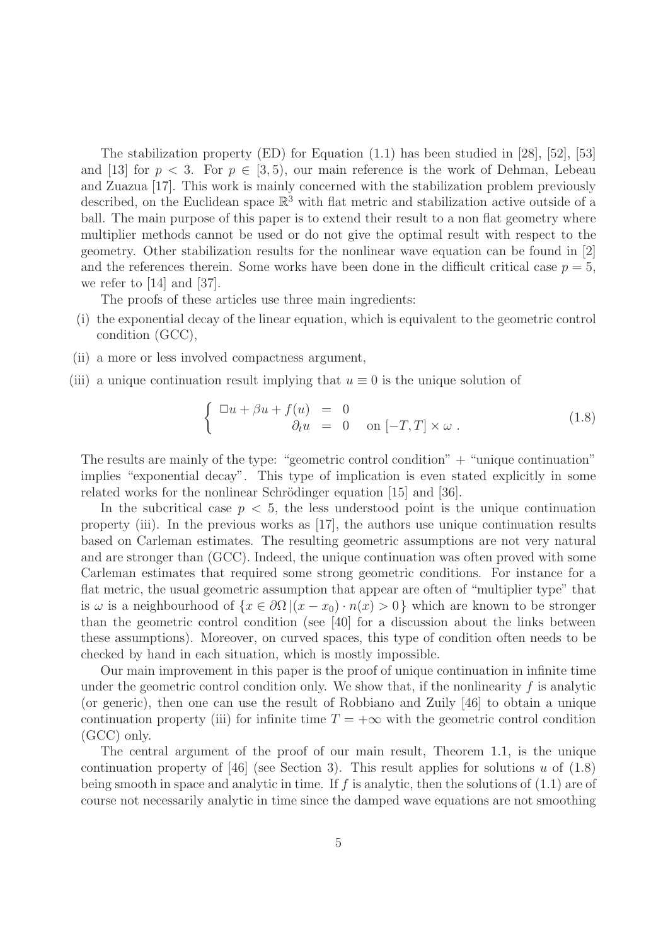The stabilization property  $(ED)$  for Equation  $(1.1)$  has been studied in [28], [52], [53] and [13] for  $p < 3$ . For  $p \in [3, 5)$ , our main reference is the work of Dehman, Lebeau and Zuazua [17]. This work is mainly concerned with the stabilization problem previously described, on the Euclidean space  $\mathbb{R}^3$  with flat metric and stabilization active outside of a ball. The main purpose of this paper is to extend their result to a non flat geometry where multiplier methods cannot be used or do not give the optimal result with respect to the geometry. Other stabilization results for the nonlinear wave equation can be found in [2] and the references therein. Some works have been done in the difficult critical case  $p = 5$ , we refer to [14] and [37].

The proofs of these articles use three main ingredients:

- (i) the exponential decay of the linear equation, which is equivalent to the geometric control condition (GCC),
- (ii) a more or less involved compactness argument,
- (iii) a unique continuation result implying that  $u \equiv 0$  is the unique solution of

$$
\begin{cases} \Box u + \beta u + f(u) = 0 \\ \partial_t u = 0 \quad \text{on } [-T, T] \times \omega \,. \end{cases} \tag{1.8}
$$

The results are mainly of the type: "geometric control condition"  $+$  "unique continuation" implies "exponential decay". This type of implication is even stated explicitly in some related works for the nonlinear Schrödinger equation [15] and [36].

In the subcritical case  $p < 5$ , the less understood point is the unique continuation property (iii). In the previous works as [17], the authors use unique continuation results based on Carleman estimates. The resulting geometric assumptions are not very natural and are stronger than (GCC). Indeed, the unique continuation was often proved with some Carleman estimates that required some strong geometric conditions. For instance for a flat metric, the usual geometric assumption that appear are often of "multiplier type" that is  $\omega$  is a neighbourhood of  $\{x \in \partial\Omega \, | \, (x - x_0) \cdot n(x) > 0\}$  which are known to be stronger than the geometric control condition (see [40] for a discussion about the links between these assumptions). Moreover, on curved spaces, this type of condition often needs to be checked by hand in each situation, which is mostly impossible.

Our main improvement in this paper is the proof of unique continuation in infinite time under the geometric control condition only. We show that, if the nonlinearity  $f$  is analytic (or generic), then one can use the result of Robbiano and Zuily [46] to obtain a unique continuation property (iii) for infinite time  $T = +\infty$  with the geometric control condition (GCC) only.

The central argument of the proof of our main result, Theorem 1.1, is the unique continuation property of [46] (see Section 3). This result applies for solutions u of  $(1.8)$ being smooth in space and analytic in time. If f is analytic, then the solutions of  $(1.1)$  are of course not necessarily analytic in time since the damped wave equations are not smoothing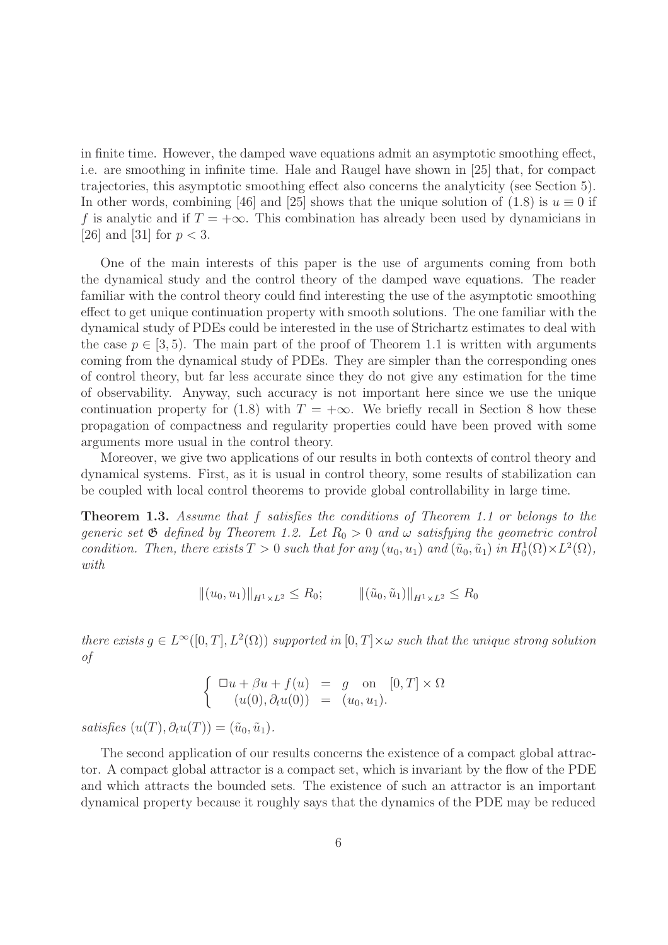in finite time. However, the damped wave equations admit an asymptotic smoothing effect, i.e. are smoothing in infinite time. Hale and Raugel have shown in [25] that, for compact trajectories, this asymptotic smoothing effect also concerns the analyticity (see Section 5). In other words, combining [46] and [25] shows that the unique solution of (1.8) is  $u \equiv 0$  if f is analytic and if  $T = +\infty$ . This combination has already been used by dynamicians in [26] and [31] for  $p < 3$ .

One of the main interests of this paper is the use of arguments coming from both the dynamical study and the control theory of the damped wave equations. The reader familiar with the control theory could find interesting the use of the asymptotic smoothing effect to get unique continuation property with smooth solutions. The one familiar with the dynamical study of PDEs could be interested in the use of Strichartz estimates to deal with the case  $p \in [3, 5)$ . The main part of the proof of Theorem 1.1 is written with arguments coming from the dynamical study of PDEs. They are simpler than the corresponding ones of control theory, but far less accurate since they do not give any estimation for the time of observability. Anyway, such accuracy is not important here since we use the unique continuation property for (1.8) with  $T = +\infty$ . We briefly recall in Section 8 how these propagation of compactness and regularity properties could have been proved with some arguments more usual in the control theory.

Moreover, we give two applications of our results in both contexts of control theory and dynamical systems. First, as it is usual in control theory, some results of stabilization can be coupled with local control theorems to provide global controllability in large time.

Theorem 1.3. Assume that f satisfies the conditions of Theorem 1.1 or belongs to the generic set  $\mathfrak G$  defined by Theorem 1.2. Let  $R_0 > 0$  and  $\omega$  satisfying the geometric control condition. Then, there exists  $T > 0$  such that for any  $(u_0, u_1)$  and  $(\tilde{u}_0, \tilde{u}_1)$  in  $H_0^1(\Omega) \times L^2(\Omega)$ , with

$$
\|(u_0, u_1)\|_{H^1 \times L^2} \le R_0; \qquad \|( \tilde{u}_0, \tilde{u}_1)\|_{H^1 \times L^2} \le R_0
$$

there exists  $g \in L^{\infty}([0,T], L^{2}(\Omega))$  supported in  $[0,T] \times \omega$  such that the unique strong solution of

$$
\begin{cases}\n\Box u + \beta u + f(u) &= g \text{ on } [0, T] \times \Omega \\
(u(0), \partial_t u(0)) &= (u_0, u_1).\n\end{cases}
$$

satisfies  $(u(T), \partial_t u(T)) = (\tilde{u}_0, \tilde{u}_1).$ 

The second application of our results concerns the existence of a compact global attractor. A compact global attractor is a compact set, which is invariant by the flow of the PDE and which attracts the bounded sets. The existence of such an attractor is an important dynamical property because it roughly says that the dynamics of the PDE may be reduced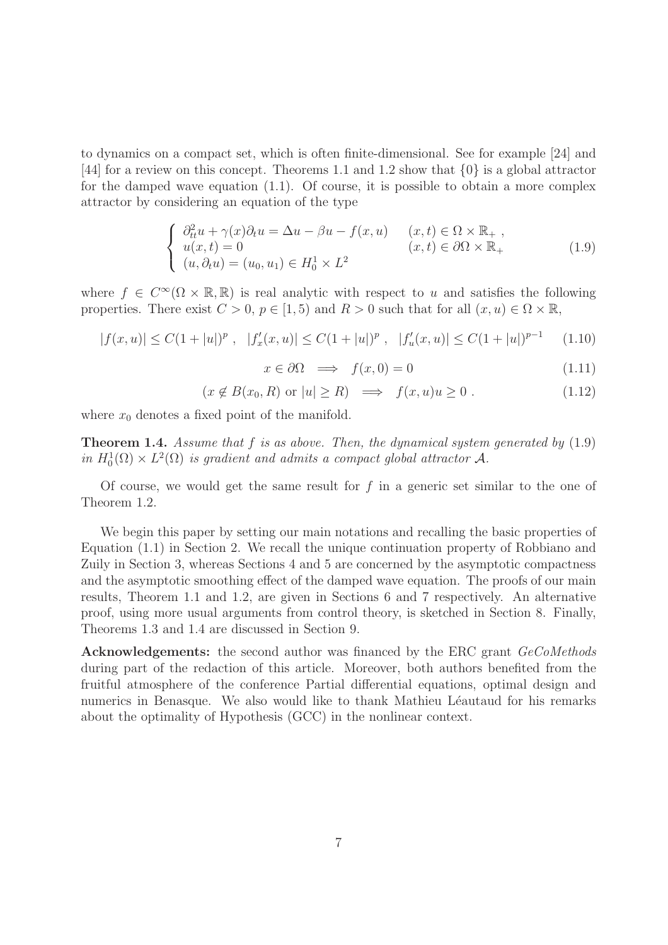to dynamics on a compact set, which is often finite-dimensional. See for example [24] and [44] for a review on this concept. Theorems 1.1 and 1.2 show that {0} is a global attractor for the damped wave equation (1.1). Of course, it is possible to obtain a more complex attractor by considering an equation of the type

$$
\begin{cases}\n\partial_{tt}^{2} u + \gamma(x)\partial_{t} u = \Delta u - \beta u - f(x, u) & (x, t) \in \Omega \times \mathbb{R}_{+} ,\\ \nu(x, t) = 0 & (x, t) \in \partial\Omega \times \mathbb{R}_{+} \\ (u, \partial_{t} u) = (u_{0}, u_{1}) \in H_{0}^{1} \times L^{2}\n\end{cases}
$$
\n(1.9)

where  $f \in C^{\infty}(\Omega \times \mathbb{R}, \mathbb{R})$  is real analytic with respect to u and satisfies the following properties. There exist  $C > 0$ ,  $p \in [1, 5)$  and  $R > 0$  such that for all  $(x, u) \in \Omega \times \mathbb{R}$ ,

$$
|f(x, u)| \le C(1 + |u|)^p, \quad |f'_x(x, u)| \le C(1 + |u|)^p, \quad |f'_u(x, u)| \le C(1 + |u|)^{p-1} \tag{1.10}
$$

$$
x \in \partial \Omega \implies f(x, 0) = 0 \tag{1.11}
$$

$$
(x \notin B(x_0, R) \text{ or } |u| \ge R) \implies f(x, u)u \ge 0. \tag{1.12}
$$

where  $x_0$  denotes a fixed point of the manifold.

**Theorem 1.4.** Assume that  $f$  is as above. Then, the dynamical system generated by  $(1.9)$ in  $H_0^1(\Omega) \times L^2(\Omega)$  is gradient and admits a compact global attractor A.

Of course, we would get the same result for  $f$  in a generic set similar to the one of Theorem 1.2.

We begin this paper by setting our main notations and recalling the basic properties of Equation (1.1) in Section 2. We recall the unique continuation property of Robbiano and Zuily in Section 3, whereas Sections 4 and 5 are concerned by the asymptotic compactness and the asymptotic smoothing effect of the damped wave equation. The proofs of our main results, Theorem 1.1 and 1.2, are given in Sections 6 and 7 respectively. An alternative proof, using more usual arguments from control theory, is sketched in Section 8. Finally, Theorems 1.3 and 1.4 are discussed in Section 9.

Acknowledgements: the second author was financed by the ERC grant GeCoMethods during part of the redaction of this article. Moreover, both authors benefited from the fruitful atmosphere of the conference Partial differential equations, optimal design and numerics in Benasque. We also would like to thank Mathieu Léautaud for his remarks about the optimality of Hypothesis (GCC) in the nonlinear context.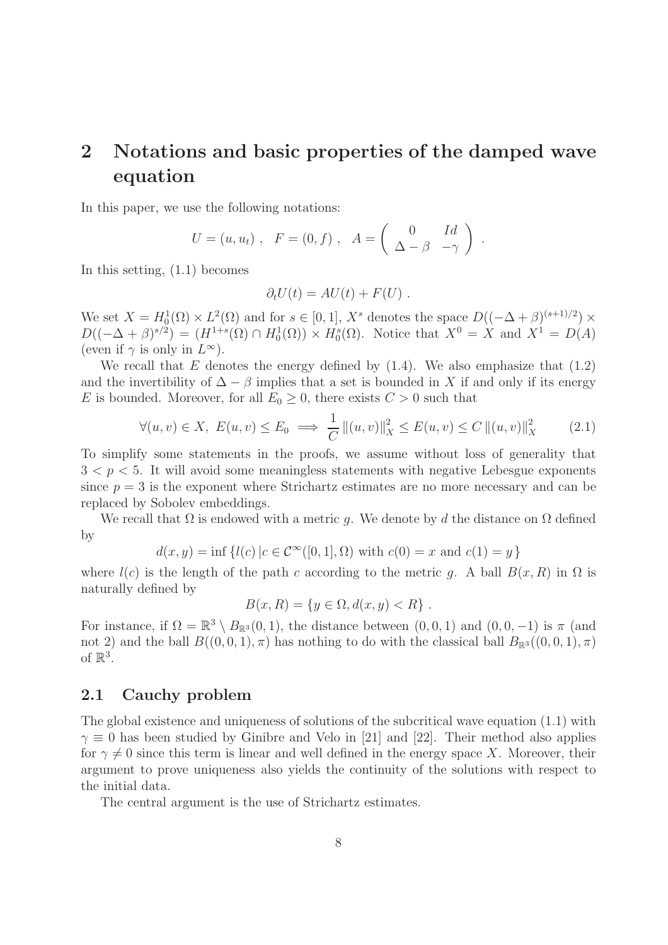# 2 Notations and basic properties of the damped wave equation

In this paper, we use the following notations:

$$
U = (u, u_t) , F = (0, f) , A = \begin{pmatrix} 0 & Id \\ \Delta - \beta & -\gamma \end{pmatrix} .
$$

In this setting, (1.1) becomes

$$
\partial_t U(t) = AU(t) + F(U) .
$$

We set  $X = H_0^1(\Omega) \times L^2(\Omega)$  and for  $s \in [0,1]$ ,  $X^s$  denotes the space  $D((-\Delta + \beta)^{(s+1)/2}) \times$  $D((-\Delta + \beta)^{s/2}) = (H^{1+s}(\Omega) \cap H_0^1(\Omega)) \times H_0^s(\Omega)$ . Notice that  $X^0 = X$  and  $X^1 = D(A)$ (even if  $\gamma$  is only in  $L^{\infty}$ ).

We recall that  $E$  denotes the energy defined by  $(1.4)$ . We also emphasize that  $(1.2)$ and the invertibility of  $\Delta - \beta$  implies that a set is bounded in X if and only if its energy E is bounded. Moreover, for all  $E_0 \geq 0$ , there exists  $C > 0$  such that

$$
\forall (u, v) \in X, \ E(u, v) \le E_0 \implies \frac{1}{C} ||(u, v)||_X^2 \le E(u, v) \le C ||(u, v)||_X^2 \tag{2.1}
$$

To simplify some statements in the proofs, we assume without loss of generality that  $3 < p < 5$ . It will avoid some meaningless statements with negative Lebesgue exponents since  $p = 3$  is the exponent where Strichartz estimates are no more necessary and can be replaced by Sobolev embeddings.

We recall that  $\Omega$  is endowed with a metric g. We denote by d the distance on  $\Omega$  defined by

$$
d(x, y) = inf \{l(c) | c \in C^{\infty}([0, 1], \Omega) \text{ with } c(0) = x \text{ and } c(1) = y\}
$$

where  $l(c)$  is the length of the path c according to the metric q. A ball  $B(x, R)$  in  $\Omega$  is naturally defined by

$$
B(x, R) = \{ y \in \Omega, d(x, y) < R \} .
$$

For instance, if  $\Omega = \mathbb{R}^3 \setminus B_{\mathbb{R}^3}(0,1)$ , the distance between  $(0,0,1)$  and  $(0,0,-1)$  is  $\pi$  (and not 2) and the ball  $B((0,0,1), \pi)$  has nothing to do with the classical ball  $B_{\mathbb{R}^3}((0,0,1), \pi)$ of  $\mathbb{R}^3$ .

### 2.1 Cauchy problem

The global existence and uniqueness of solutions of the subcritical wave equation (1.1) with  $\gamma \equiv 0$  has been studied by Ginibre and Velo in [21] and [22]. Their method also applies for  $\gamma \neq 0$  since this term is linear and well defined in the energy space X. Moreover, their argument to prove uniqueness also yields the continuity of the solutions with respect to the initial data.

The central argument is the use of Strichartz estimates.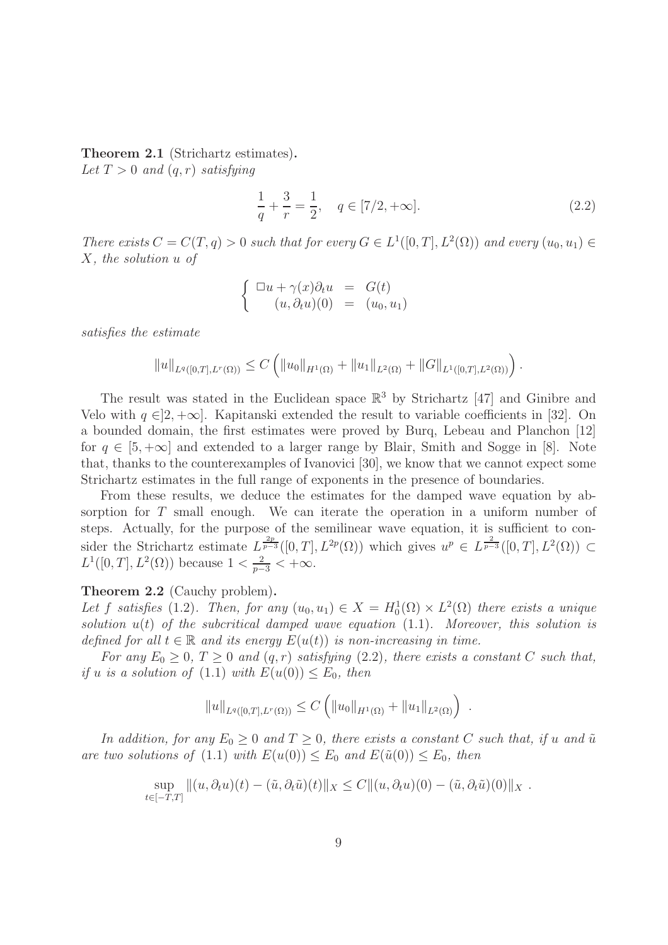Theorem 2.1 (Strichartz estimates). Let  $T > 0$  and  $(q, r)$  satisfying

$$
\frac{1}{q} + \frac{3}{r} = \frac{1}{2}, \quad q \in [7/2, +\infty].
$$
\n(2.2)

There exists  $C = C(T, q) > 0$  such that for every  $G \in L^1([0, T], L^2(\Omega))$  and every  $(u_0, u_1) \in$ X, the solution u of

$$
\begin{cases} \n\Box u + \gamma(x)\partial_t u = G(t) \\ \n(u, \partial_t u)(0) = (u_0, u_1) \n\end{cases}
$$

satisfies the estimate

$$
||u||_{L^{q}([0,T],L^{r}(\Omega))} \leq C \left( ||u_0||_{H^1(\Omega)} + ||u_1||_{L^2(\Omega)} + ||G||_{L^1([0,T],L^2(\Omega))} \right).
$$

The result was stated in the Euclidean space  $\mathbb{R}^3$  by Strichartz [47] and Ginibre and Velo with  $q \in ]2, +\infty]$ . Kapitanski extended the result to variable coefficients in [32]. On a bounded domain, the first estimates were proved by Burq, Lebeau and Planchon [12] for  $q \in [5, +\infty]$  and extended to a larger range by Blair, Smith and Sogge in [8]. Note that, thanks to the counterexamples of Ivanovici [30], we know that we cannot expect some Strichartz estimates in the full range of exponents in the presence of boundaries.

From these results, we deduce the estimates for the damped wave equation by absorption for T small enough. We can iterate the operation in a uniform number of steps. Actually, for the purpose of the semilinear wave equation, it is sufficient to consider the Strichartz estimate  $L^{\frac{2p}{p-3}}([0,T], L^{2p}(\Omega))$  which gives  $u^p \in L^{\frac{2}{p-3}}([0,T], L^2(\Omega)) \subset$  $L^1([0,T], L^2(\Omega))$  because  $1 < \frac{2}{p-3} < +\infty$ .

#### Theorem 2.2 (Cauchy problem).

Let f satisfies (1.2). Then, for any  $(u_0, u_1) \in X = H_0^1(\Omega) \times L^2(\Omega)$  there exists a unique solution  $u(t)$  of the subcritical damped wave equation  $(1.1)$ . Moreover, this solution is defined for all  $t \in \mathbb{R}$  and its energy  $E(u(t))$  is non-increasing in time.

For any  $E_0 \geq 0$ ,  $T \geq 0$  and  $(q, r)$  satisfying (2.2), there exists a constant C such that, if u is a solution of  $(1.1)$  with  $E(u(0)) \leq E_0$ , then

$$
||u||_{L^{q}([0,T],L^{r}(\Omega))} \leq C \left( ||u_0||_{H^1(\Omega)} + ||u_1||_{L^2(\Omega)} \right)
$$

.

In addition, for any  $E_0 \geq 0$  and  $T \geq 0$ , there exists a constant C such that, if u and  $\tilde{u}$ are two solutions of (1.1) with  $E(u(0)) \leq E_0$  and  $E(\tilde{u}(0)) \leq E_0$ , then

$$
\sup_{t\in[-T,T]}||(u,\partial_t u)(t)-(\tilde{u},\partial_t \tilde{u})(t)||_X\leq C||(u,\partial_t u)(0)-(\tilde{u},\partial_t \tilde{u})(0)||_X.
$$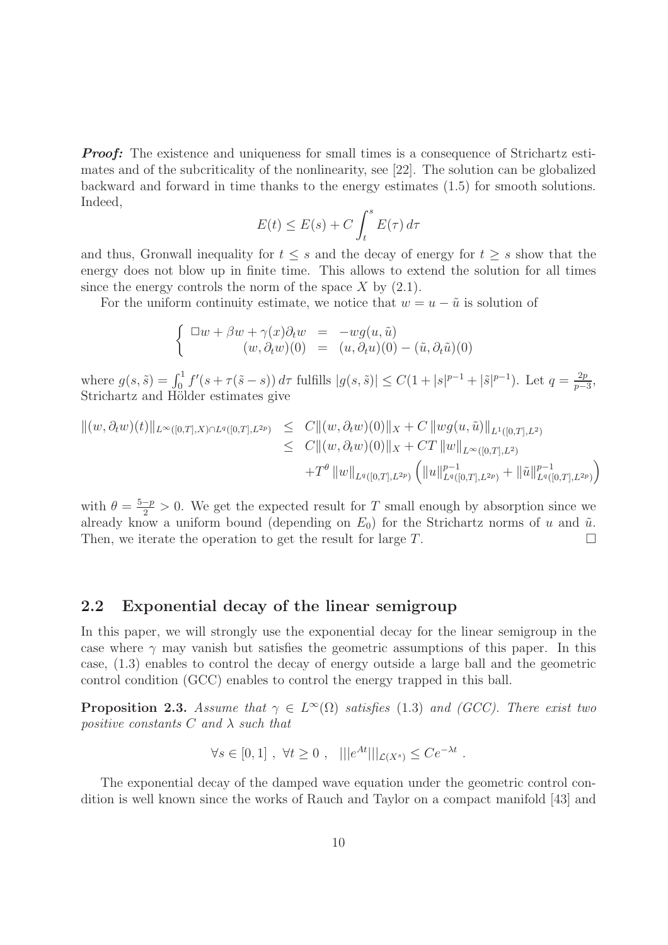*Proof:* The existence and uniqueness for small times is a consequence of Strichartz estimates and of the subcriticality of the nonlinearity, see [22]. The solution can be globalized backward and forward in time thanks to the energy estimates (1.5) for smooth solutions. Indeed,

$$
E(t) \le E(s) + C \int_t^s E(\tau) d\tau
$$

and thus, Gronwall inequality for  $t \leq s$  and the decay of energy for  $t \geq s$  show that the energy does not blow up in finite time. This allows to extend the solution for all times since the energy controls the norm of the space  $X$  by  $(2.1)$ .

For the uniform continuity estimate, we notice that  $w = u - \tilde{u}$  is solution of

$$
\begin{cases}\n\Box w + \beta w + \gamma(x)\partial_t w &= -wg(u, \tilde{u}) \\
(w, \partial_t w)(0) &= (u, \partial_t u)(0) - (\tilde{u}, \partial_t \tilde{u})(0)\n\end{cases}
$$

where  $g(s, \tilde{s}) = \int_0^1 f'(s + \tau(\tilde{s} - s)) d\tau$  fulfills  $|g(s, \tilde{s})| \leq C(1 + |s|^{p-1} + |\tilde{s}|^{p-1})$ . Let  $q = \frac{2p}{p-1}$  $rac{2p}{p-3},$ Strichartz and Hölder estimates give

$$
\| (w, \partial_t w)(t) \|_{L^{\infty}([0,T], X) \cap L^{q}([0,T], L^{2p})} \leq C \| (w, \partial_t w)(0) \|_{X} + C \|wg(u, \tilde{u}) \|_{L^{1}([0,T], L^{2})}
$$
  

$$
\leq C \| (w, \partial_t w)(0) \|_{X} + CT \| w \|_{L^{\infty}([0,T], L^{2p})}
$$
  

$$
+ T^{\theta} \| w \|_{L^{q}([0,T], L^{2p})} \left( \| u \|_{L^{q}([0,T], L^{2p})}^{p-1} + \| \tilde{u} \|_{L^{q}([0,T], L^{2p})}^{p-1} \right)
$$

with  $\theta = \frac{5-p}{2} > 0$ . We get the expected result for T small enough by absorption since we already know a uniform bound (depending on  $E_0$ ) for the Strichartz norms of u and  $\tilde{u}$ . Then, we iterate the operation to get the result for large  $T$ .

#### 2.2 Exponential decay of the linear semigroup

In this paper, we will strongly use the exponential decay for the linear semigroup in the case where  $\gamma$  may vanish but satisfies the geometric assumptions of this paper. In this case, (1.3) enables to control the decay of energy outside a large ball and the geometric control condition (GCC) enables to control the energy trapped in this ball.

**Proposition 2.3.** Assume that  $\gamma \in L^{\infty}(\Omega)$  satisfies (1.3) and (GCC). There exist two positive constants C and  $\lambda$  such that

$$
\forall s \in [0,1], \ \forall t \geq 0 , \ \ |||e^{At}|||_{\mathcal{L}(X^s)} \leq Ce^{-\lambda t} .
$$

The exponential decay of the damped wave equation under the geometric control condition is well known since the works of Rauch and Taylor on a compact manifold [43] and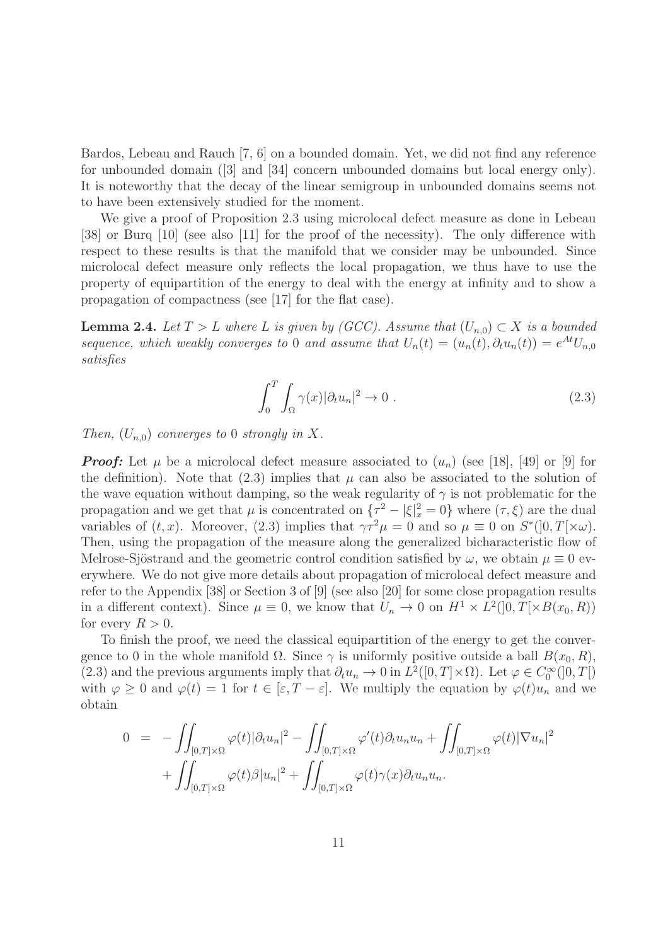Bardos, Lebeau and Rauch [7, 6] on a bounded domain. Yet, we did not find any reference for unbounded domain ([3] and [34] concern unbounded domains but local energy only). It is noteworthy that the decay of the linear semigroup in unbounded domains seems not to have been extensively studied for the moment.

We give a proof of Proposition 2.3 using microlocal defect measure as done in Lebeau [38] or Burq [10] (see also [11] for the proof of the necessity). The only difference with respect to these results is that the manifold that we consider may be unbounded. Since microlocal defect measure only reflects the local propagation, we thus have to use the property of equipartition of the energy to deal with the energy at infinity and to show a propagation of compactness (see [17] for the flat case).

**Lemma 2.4.** Let  $T > L$  where L is given by (GCC). Assume that  $(U_{n,0}) \subset X$  is a bounded sequence, which weakly converges to 0 and assume that  $U_n(t) = (u_n(t), \partial_t u_n(t)) = e^{At} U_{n,0}$ satisfies

$$
\int_0^T \int_{\Omega} \gamma(x) |\partial_t u_n|^2 \to 0 . \tag{2.3}
$$

Then,  $(U_{n,0})$  converges to 0 strongly in X.

*Proof:* Let  $\mu$  be a microlocal defect measure associated to  $(u_n)$  (see [18], [49] or [9] for the definition). Note that  $(2.3)$  implies that  $\mu$  can also be associated to the solution of the wave equation without damping, so the weak regularity of  $\gamma$  is not problematic for the propagation and we get that  $\mu$  is concentrated on  $\{\tau^2 - |\xi|_x^2 = 0\}$  where  $(\tau, \xi)$  are the dual variables of  $(t, x)$ . Moreover,  $(2.3)$  implies that  $\gamma \tau^2 \mu = 0$  and so  $\mu \equiv 0$  on  $S^*(]0, T[\times \omega)$ . Then, using the propagation of the measure along the generalized bicharacteristic flow of Melrose-Sjöstrand and the geometric control condition satisfied by  $\omega$ , we obtain  $\mu \equiv 0$  everywhere. We do not give more details about propagation of microlocal defect measure and refer to the Appendix [38] or Section 3 of [9] (see also [20] for some close propagation results in a different context). Since  $\mu \equiv 0$ , we know that  $U_n \to 0$  on  $H^1 \times L^2(]0, T[ \times B(x_0, R))$ for every  $R > 0$ .

To finish the proof, we need the classical equipartition of the energy to get the convergence to 0 in the whole manifold  $\Omega$ . Since  $\gamma$  is uniformly positive outside a ball  $B(x_0, R)$ , (2.3) and the previous arguments imply that  $\partial_t u_n \to 0$  in  $L^2([0,T] \times \Omega)$ . Let  $\varphi \in C_0^{\infty}([0,T])$ with  $\varphi \geq 0$  and  $\varphi(t) = 1$  for  $t \in [\varepsilon, T - \varepsilon]$ . We multiply the equation by  $\varphi(t)u_n$  and we obtain

$$
0 = -\iint_{[0,T]\times\Omega} \varphi(t) |\partial_t u_n|^2 - \iint_{[0,T]\times\Omega} \varphi'(t) \partial_t u_n u_n + \iint_{[0,T]\times\Omega} \varphi(t) |\nabla u_n|^2
$$
  
+ 
$$
\iint_{[0,T]\times\Omega} \varphi(t) \beta |u_n|^2 + \iint_{[0,T]\times\Omega} \varphi(t) \gamma(x) \partial_t u_n u_n.
$$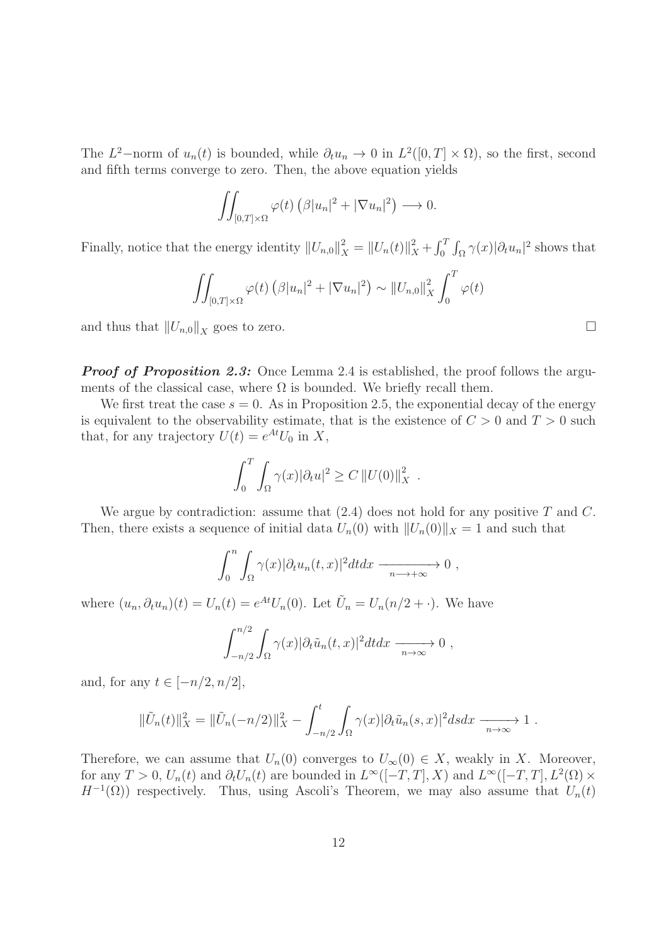The  $L^2$ -norm of  $u_n(t)$  is bounded, while  $\partial_t u_n \to 0$  in  $L^2([0,T] \times \Omega)$ , so the first, second and fifth terms converge to zero. Then, the above equation yields

$$
\iint_{[0,T]\times\Omega} \varphi(t) \left(\beta |u_n|^2 + |\nabla u_n|^2\right) \longrightarrow 0.
$$

Finally, notice that the energy identity  $||U_{n,0}||_X^2 = ||U_n(t)||_X^2 + \int_0^T \int_{\Omega} \gamma(x) |\partial_t u_n|^2$  shows that

$$
\iint_{[0,T]\times\Omega} \varphi(t) \left(\beta |u_n|^2 + |\nabla u_n|^2\right) \sim ||U_{n,0}||_X^2 \int_0^T \varphi(t)
$$

and thus that  $||U_{n,0}||_X$  goes to zero.

*Proof of Proposition 2.3:* Once Lemma 2.4 is established, the proof follows the arguments of the classical case, where  $\Omega$  is bounded. We briefly recall them.

We first treat the case  $s = 0$ . As in Proposition 2.5, the exponential decay of the energy is equivalent to the observability estimate, that is the existence of  $C > 0$  and  $T > 0$  such that, for any trajectory  $U(t) = e^{At}U_0$  in X,

$$
\int_0^T \int_{\Omega} \gamma(x) |\partial_t u|^2 \geq C ||U(0)||_X^2.
$$

We argue by contradiction: assume that  $(2.4)$  does not hold for any positive T and C. Then, there exists a sequence of initial data  $U_n(0)$  with  $||U_n(0)||_X = 1$  and such that

$$
\int_0^n \int_{\Omega} \gamma(x) |\partial_t u_n(t,x)|^2 dt dx \longrightarrow 0 ,
$$

where  $(u_n, \partial_t u_n)(t) = U_n(t) = e^{At} U_n(0)$ . Let  $\tilde{U}_n = U_n(n/2 + \cdot)$ . We have

$$
\int_{-n/2}^{n/2} \int_{\Omega} \gamma(x) |\partial_t \tilde{u}_n(t,x)|^2 dt dx \longrightarrow 0 ,
$$

and, for any  $t \in [-n/2, n/2]$ ,

$$
\|\tilde{U}_n(t)\|_X^2 = \|\tilde{U}_n(-n/2)\|_X^2 - \int_{-n/2}^t \int_{\Omega} \gamma(x) |\partial_t \tilde{u}_n(s,x)|^2 ds dx \xrightarrow[n \to \infty]{} 1.
$$

Therefore, we can assume that  $U_n(0)$  converges to  $U_\infty(0) \in X$ , weakly in X. Moreover, for any  $T > 0$ ,  $U_n(t)$  and  $\partial_t U_n(t)$  are bounded in  $L^{\infty}([-T,T], X)$  and  $L^{\infty}([-T,T], L^2(\Omega) \times$  $H^{-1}(\Omega)$ ) respectively. Thus, using Ascoli's Theorem, we may also assume that  $U_n(t)$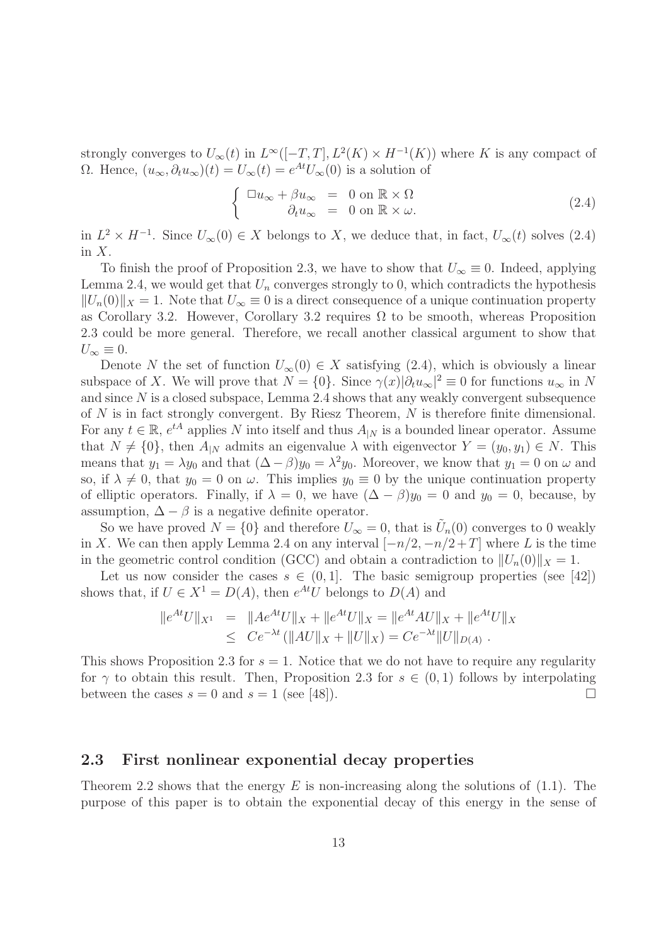strongly converges to  $U_{\infty}(t)$  in  $L^{\infty}([-T,T], L^{2}(K) \times H^{-1}(K))$  where K is any compact of Ω. Hence,  $(u_{\infty}, \partial_t u_{\infty})(t) = U_{\infty}(t) = e^{At} U_{\infty}(0)$  is a solution of

$$
\begin{cases} \Box u_{\infty} + \beta u_{\infty} = 0 \text{ on } \mathbb{R} \times \Omega \\ \partial_t u_{\infty} = 0 \text{ on } \mathbb{R} \times \omega. \end{cases}
$$
 (2.4)

in  $L^2 \times H^{-1}$ . Since  $U_{\infty}(0) \in X$  belongs to X, we deduce that, in fact,  $U_{\infty}(t)$  solves (2.4) in X.

To finish the proof of Proposition 2.3, we have to show that  $U_{\infty} \equiv 0$ . Indeed, applying Lemma 2.4, we would get that  $U_n$  converges strongly to 0, which contradicts the hypothesis  $||U_n(0)||_X = 1$ . Note that  $U_\infty \equiv 0$  is a direct consequence of a unique continuation property as Corollary 3.2. However, Corollary 3.2 requires  $\Omega$  to be smooth, whereas Proposition 2.3 could be more general. Therefore, we recall another classical argument to show that  $U_{\infty}\equiv 0.$ 

Denote N the set of function  $U_{\infty}(0) \in X$  satisfying (2.4), which is obviously a linear subspace of X. We will prove that  $N = \{0\}$ . Since  $\gamma(x)|\partial_t u_\infty|^2 \equiv 0$  for functions  $u_\infty$  in N and since  $N$  is a closed subspace, Lemma 2.4 shows that any weakly convergent subsequence of  $N$  is in fact strongly convergent. By Riesz Theorem,  $N$  is therefore finite dimensional. For any  $t \in \mathbb{R}$ ,  $e^{tA}$  applies N into itself and thus  $A_{|N}$  is a bounded linear operator. Assume that  $N \neq \{0\}$ , then  $A_{|N}$  admits an eigenvalue  $\lambda$  with eigenvector  $Y = (y_0, y_1) \in N$ . This means that  $y_1 = \lambda y_0$  and that  $(\Delta - \beta)y_0 = \lambda^2 y_0$ . Moreover, we know that  $y_1 = 0$  on  $\omega$  and so, if  $\lambda \neq 0$ , that  $y_0 = 0$  on  $\omega$ . This implies  $y_0 \equiv 0$  by the unique continuation property of elliptic operators. Finally, if  $\lambda = 0$ , we have  $(\Delta - \beta)y_0 = 0$  and  $y_0 = 0$ , because, by assumption,  $\Delta - \beta$  is a negative definite operator.

So we have proved  $N = \{0\}$  and therefore  $U_{\infty} = 0$ , that is  $\tilde{U}_n(0)$  converges to 0 weakly in X. We can then apply Lemma 2.4 on any interval  $[-n/2, -n/2 + T]$  where L is the time in the geometric control condition (GCC) and obtain a contradiction to  $||U_n(0)||_X = 1$ .

Let us now consider the cases  $s \in (0,1]$ . The basic semigroup properties (see [42]) shows that, if  $U \in X^1 = D(A)$ , then  $e^{At}U$  belongs to  $D(A)$  and

$$
||e^{At}U||_{X^1} = ||Ae^{At}U||_X + ||e^{At}U||_X = ||e^{At}AU||_X + ||e^{At}U||_X
$$
  
\n
$$
\leq Ce^{-\lambda t} (||AU||_X + ||U||_X) = Ce^{-\lambda t} ||U||_{D(A)}.
$$

This shows Proposition 2.3 for  $s = 1$ . Notice that we do not have to require any regularity for  $\gamma$  to obtain this result. Then, Proposition 2.3 for  $s \in (0,1)$  follows by interpolating between the cases  $s = 0$  and  $s = 1$  (see [48]). between the cases  $s = 0$  and  $s = 1$  (see [48]).

### 2.3 First nonlinear exponential decay properties

Theorem 2.2 shows that the energy E is non-increasing along the solutions of  $(1.1)$ . The purpose of this paper is to obtain the exponential decay of this energy in the sense of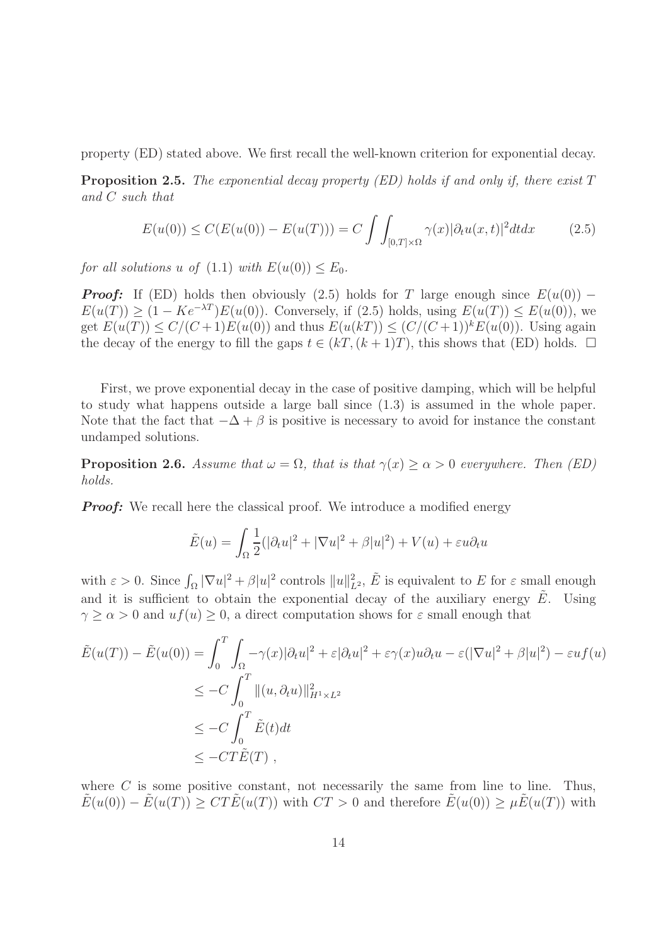property (ED) stated above. We first recall the well-known criterion for exponential decay.

**Proposition 2.5.** The exponential decay property (ED) holds if and only if, there exist  $T$ and C such that

$$
E(u(0)) \le C(E(u(0)) - E(u(T))) = C \int \int_{[0,T] \times \Omega} \gamma(x) |\partial_t u(x,t)|^2 dt dx \qquad (2.5)
$$

for all solutions u of  $(1.1)$  with  $E(u(0)) \leq E_0$ .

*Proof:* If (ED) holds then obviously (2.5) holds for T large enough since  $E(u(0))$  –  $E(u(T)) > (1 - Ke^{-\lambda T})E(u(0))$ . Conversely, if (2.5) holds, using  $E(u(T)) \le E(u(0))$ , we get  $E(u(T)) \le C/(C+1)E(u(0))$  and thus  $E(u(kT)) \le (C/(C+1))^k E(u(0))$ . Using again the decay of the energy to fill the gaps  $t \in (kT, (k+1)T)$ , this shows that (ED) holds.  $\Box$ 

First, we prove exponential decay in the case of positive damping, which will be helpful to study what happens outside a large ball since (1.3) is assumed in the whole paper. Note that the fact that  $-\Delta + \beta$  is positive is necessary to avoid for instance the constant undamped solutions.

**Proposition 2.6.** Assume that  $\omega = \Omega$ , that is that  $\gamma(x) \ge \alpha > 0$  everywhere. Then (ED) holds.

*Proof:* We recall here the classical proof. We introduce a modified energy

$$
\tilde{E}(u) = \int_{\Omega} \frac{1}{2} (|\partial_t u|^2 + |\nabla u|^2 + \beta |u|^2) + V(u) + \varepsilon u \partial_t u
$$

with  $\varepsilon > 0$ . Since  $\int_{\Omega} |\nabla u|^2 + \beta |u|^2$  controls  $||u||_{L^2}^2$ ,  $\tilde{E}$  is equivalent to E for  $\varepsilon$  small enough and it is sufficient to obtain the exponential decay of the auxiliary energy  $E$ . Using  $\gamma \geq \alpha > 0$  and  $uf(u) \geq 0$ , a direct computation shows for  $\varepsilon$  small enough that

$$
\tilde{E}(u(T)) - \tilde{E}(u(0)) = \int_0^T \int_{\Omega} -\gamma(x)|\partial_t u|^2 + \varepsilon |\partial_t u|^2 + \varepsilon \gamma(x)u\partial_t u - \varepsilon(|\nabla u|^2 + \beta |u|^2) - \varepsilon u f(u)
$$
\n
$$
\leq -C \int_0^T ||(u, \partial_t u)||_{H^1 \times L^2}^2
$$
\n
$$
\leq -C \int_0^T \tilde{E}(t)dt
$$
\n
$$
\leq -CT\tilde{E}(T),
$$

where  $C$  is some positive constant, not necessarily the same from line to line. Thus,  $\tilde{E}(u(0)) - \tilde{E}(u(T)) \geq C T \tilde{E}(u(T))$  with  $CT > 0$  and therefore  $\tilde{E}(u(0)) \geq \mu \tilde{E}(u(T))$  with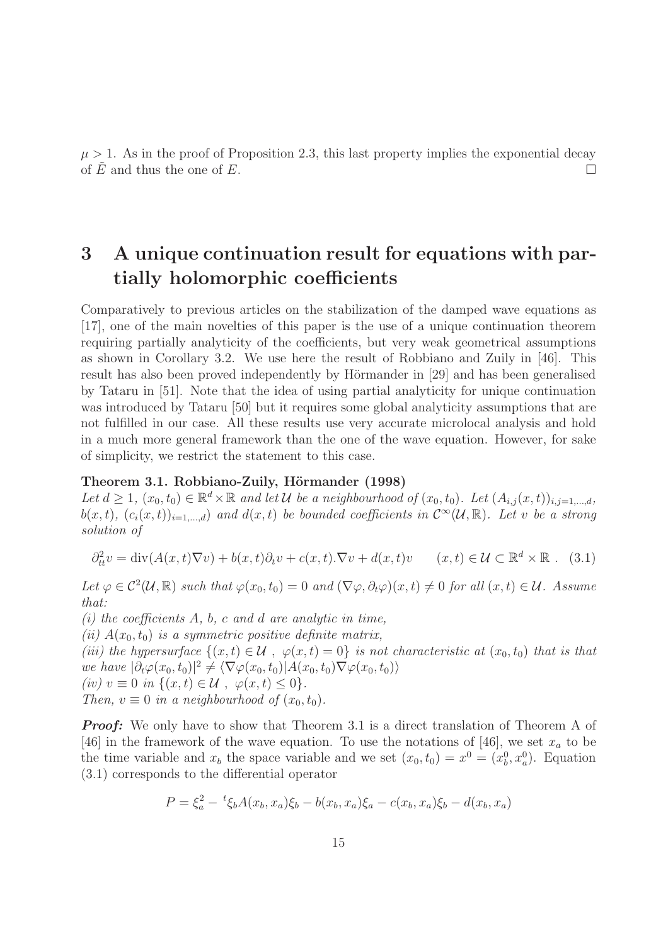$\mu > 1$ . As in the proof of Proposition 2.3, this last property implies the exponential decay of E and thus the one of E.

# 3 A unique continuation result for equations with partially holomorphic coefficients

Comparatively to previous articles on the stabilization of the damped wave equations as [17], one of the main novelties of this paper is the use of a unique continuation theorem requiring partially analyticity of the coefficients, but very weak geometrical assumptions as shown in Corollary 3.2. We use here the result of Robbiano and Zuily in [46]. This result has also been proved independently by Hörmander in [29] and has been generalised by Tataru in [51]. Note that the idea of using partial analyticity for unique continuation was introduced by Tataru [50] but it requires some global analyticity assumptions that are not fulfilled in our case. All these results use very accurate microlocal analysis and hold in a much more general framework than the one of the wave equation. However, for sake of simplicity, we restrict the statement to this case.

#### Theorem 3.1. Robbiano-Zuily, Hörmander (1998)

Let  $d \geq 1$ ,  $(x_0, t_0) \in \mathbb{R}^d \times \mathbb{R}$  and let U be a neighbourhood of  $(x_0, t_0)$ . Let  $(A_{i,j}(x, t))_{i,j=1,\dots,d}$ ,  $b(x,t)$ ,  $(c_i(x,t))_{i=1,\dots,d}$  and  $d(x,t)$  be bounded coefficients in  $\mathcal{C}^{\infty}(\mathcal{U}, \mathbb{R})$ . Let v be a strong solution of

$$
\partial_{tt}^2 v = \text{div}(A(x,t)\nabla v) + b(x,t)\partial_t v + c(x,t).\nabla v + d(x,t)v \qquad (x,t) \in \mathcal{U} \subset \mathbb{R}^d \times \mathbb{R} \ . \tag{3.1}
$$

Let  $\varphi \in C^2(\mathcal{U}, \mathbb{R})$  such that  $\varphi(x_0, t_0) = 0$  and  $(\nabla \varphi, \partial_t \varphi)(x, t) \neq 0$  for all  $(x, t) \in \mathcal{U}$ . Assume that:

(i) the coefficients  $A$ ,  $b$ ,  $c$  and  $d$  are analytic in time,

(ii)  $A(x_0, t_0)$  is a symmetric positive definite matrix,

(iii) the hypersurface  $\{(x,t) \in \mathcal{U}, \varphi(x,t) = 0\}$  is not characteristic at  $(x_0, t_0)$  that is that we have  $|\partial_t \varphi(x_0, t_0)|^2 \neq \langle \nabla \varphi(x_0, t_0) | A(x_0, t_0) \nabla \varphi(x_0, t_0) \rangle$ (iv)  $v \equiv 0$  in  $\{(x,t) \in \mathcal{U}, \varphi(x,t) \leq 0\}.$ 

Then,  $v \equiv 0$  in a neighbourhood of  $(x_0, t_0)$ .

*Proof:* We only have to show that Theorem 3.1 is a direct translation of Theorem A of [46] in the framework of the wave equation. To use the notations of [46], we set  $x_a$  to be the time variable and  $x_b$  the space variable and we set  $(x_0, t_0) = x^0 = (x_0^0, x_a^0)$ . Equation (3.1) corresponds to the differential operator

$$
P = \xi_a^2 - {}^t \xi_b A(x_b, x_a) \xi_b - b(x_b, x_a) \xi_a - c(x_b, x_a) \xi_b - d(x_b, x_a)
$$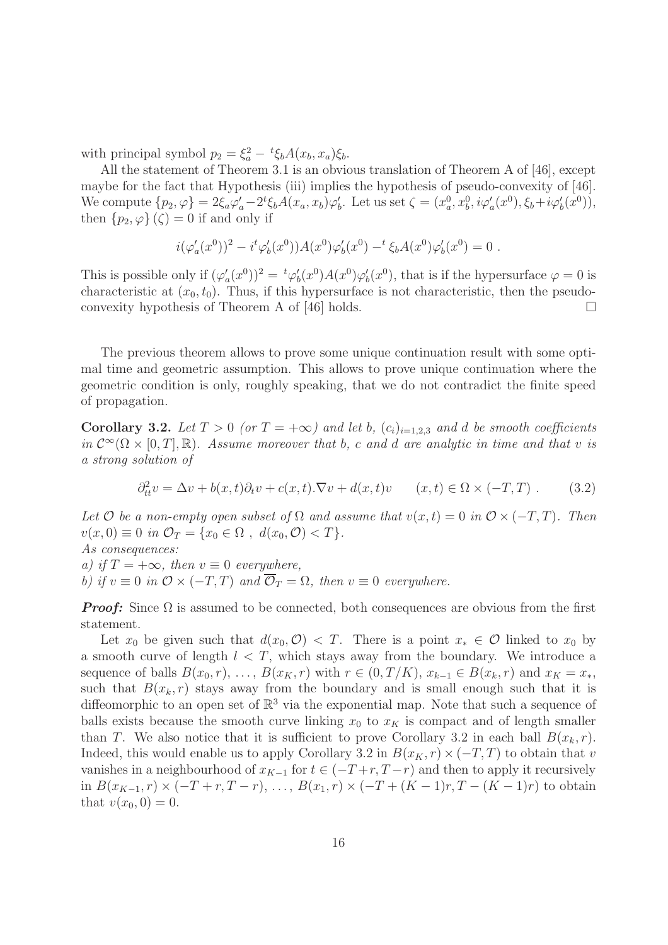with principal symbol  $p_2 = \xi_a^2 - {}^t \xi_b A(x_b, x_a) \xi_b$ .

All the statement of Theorem 3.1 is an obvious translation of Theorem A of [46], except maybe for the fact that Hypothesis (iii) implies the hypothesis of pseudo-convexity of [46]. We compute  $\{p_2, \varphi\} = 2\xi_a\varphi_a' - 2^t\xi_bA(x_a, x_b)\varphi_b'$ . Let us set  $\zeta = (x_a^0, x_b^0, i\varphi_a'(x^0), \xi_b + i\varphi_b'(x^0)),$ then  $\{p_2, \varphi\}(\zeta) = 0$  if and only if

$$
i(\varphi_a'(x^0))^2 - i^t \varphi_b'(x^0))A(x^0)\varphi_b'(x^0) -^t \xi_b A(x^0)\varphi_b'(x^0) = 0.
$$

This is possible only if  $(\varphi_a'(x^0))^2 = {}^t\varphi_b'(x^0)A(x^0)\varphi_b'(x^0)$ , that is if the hypersurface  $\varphi = 0$  is characteristic at  $(x_0, t_0)$ . Thus, if this hypersurface is not characteristic, then the pseudoconvexity hypothesis of Theorem A of  $[46]$  holds.

The previous theorem allows to prove some unique continuation result with some optimal time and geometric assumption. This allows to prove unique continuation where the geometric condition is only, roughly speaking, that we do not contradict the finite speed of propagation.

Corollary 3.2. Let  $T > 0$  (or  $T = +\infty$ ) and let b,  $(c_i)_{i=1,2,3}$  and d be smooth coefficients in  $\mathcal{C}^{\infty}(\Omega \times [0,T], \mathbb{R})$ . Assume moreover that b, c and d are analytic in time and that v is a strong solution of

$$
\partial_{tt}^2 v = \Delta v + b(x, t)\partial_t v + c(x, t).\nabla v + d(x, t)v \qquad (x, t) \in \Omega \times (-T, T) . \tag{3.2}
$$

Let O be a non-empty open subset of  $\Omega$  and assume that  $v(x,t) = 0$  in  $\mathcal{O} \times (-T,T)$ . Then  $v(x, 0) \equiv 0$  in  $\mathcal{O}_T = \{x_0 \in \Omega, d(x_0, \mathcal{O}) < T\}.$ As consequences:

a) if  $T = +\infty$ , then  $v \equiv 0$  everywhere, b) if  $v \equiv 0$  in  $\mathcal{O} \times (-T, T)$  and  $\overline{\mathcal{O}}_T = \Omega$ , then  $v \equiv 0$  everywhere.

*Proof:* Since  $\Omega$  is assumed to be connected, both consequences are obvious from the first statement.

Let  $x_0$  be given such that  $d(x_0, \mathcal{O}) < T$ . There is a point  $x_* \in \mathcal{O}$  linked to  $x_0$  by a smooth curve of length  $l < T$ , which stays away from the boundary. We introduce a sequence of balls  $B(x_0, r), \ldots, B(x_K, r)$  with  $r \in (0, T/K), x_{k-1} \in B(x_k, r)$  and  $x_K = x_*$ , such that  $B(x_k, r)$  stays away from the boundary and is small enough such that it is diffeomorphic to an open set of  $\mathbb{R}^3$  via the exponential map. Note that such a sequence of balls exists because the smooth curve linking  $x_0$  to  $x_k$  is compact and of length smaller than T. We also notice that it is sufficient to prove Corollary 3.2 in each ball  $B(x_k, r)$ . Indeed, this would enable us to apply Corollary 3.2 in  $B(x_K, r) \times (-T, T)$  to obtain that v vanishes in a neighbourhood of  $x_{K-1}$  for  $t \in (-T+r, T-r)$  and then to apply it recursively in  $B(x_{K-1}, r) \times (-T + r, T - r), \ldots, B(x_1, r) \times (-T + (K-1)r, T - (K-1)r)$  to obtain that  $v(x_0, 0) = 0$ .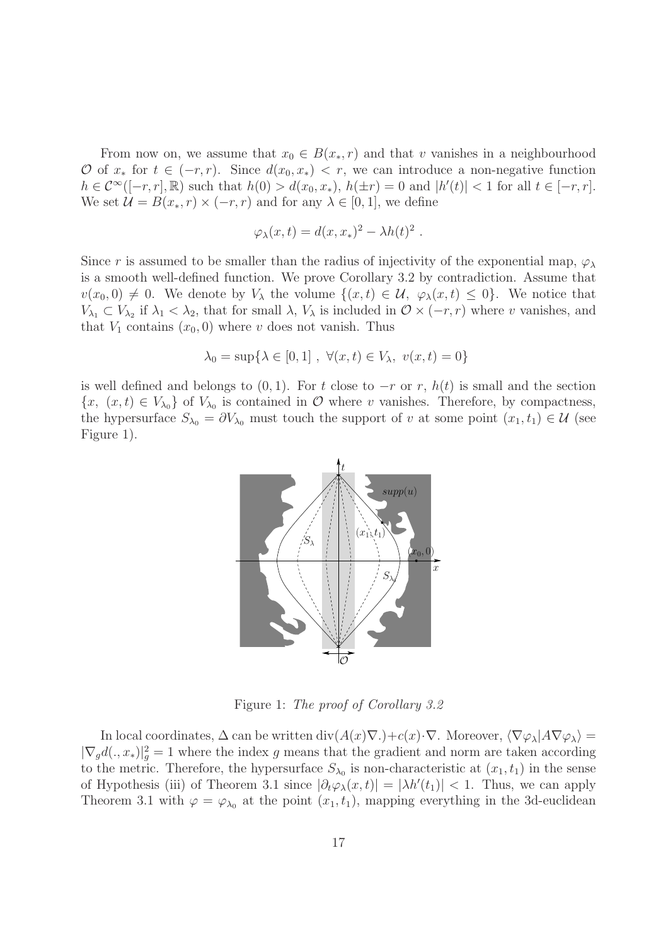From now on, we assume that  $x_0 \in B(x_*, r)$  and that v vanishes in a neighbourhood O of  $x_*$  for  $t \in (-r, r)$ . Since  $d(x_0, x_*) < r$ , we can introduce a non-negative function  $h \in C^{\infty}([-r, r], \mathbb{R})$  such that  $h(0) > d(x_0, x_*)$ ,  $h(\pm r) = 0$  and  $|h'(t)| < 1$  for all  $t \in [-r, r]$ . We set  $\mathcal{U} = B(x_*, r) \times (-r, r)$  and for any  $\lambda \in [0, 1]$ , we define

$$
\varphi_{\lambda}(x,t) = d(x,x_*)^2 - \lambda h(t)^2.
$$

Since r is assumed to be smaller than the radius of injectivity of the exponential map,  $\varphi_{\lambda}$ is a smooth well-defined function. We prove Corollary 3.2 by contradiction. Assume that  $v(x_0, 0) \neq 0$ . We denote by  $V_\lambda$  the volume  $\{(x, t) \in \mathcal{U}, \varphi_\lambda(x, t) \leq 0\}$ . We notice that  $V_{\lambda_1} \subset V_{\lambda_2}$  if  $\lambda_1 < \lambda_2$ , that for small  $\lambda$ ,  $V_{\lambda}$  is included in  $\mathcal{O} \times (-r, r)$  where v vanishes, and that  $V_1$  contains  $(x_0, 0)$  where v does not vanish. Thus

$$
\lambda_0 = \sup \{ \lambda \in [0, 1] , \ \forall (x, t) \in V_\lambda, \ v(x, t) = 0 \}
$$

is well defined and belongs to  $(0, 1)$ . For t close to  $-r$  or r,  $h(t)$  is small and the section  $\{x, (x,t) \in V_{\lambda_0}\}\$  of  $V_{\lambda_0}$  is contained in  $\mathcal O$  where v vanishes. Therefore, by compactness, the hypersurface  $S_{\lambda_0} = \partial V_{\lambda_0}$  must touch the support of v at some point  $(x_1, t_1) \in \mathcal{U}$  (see Figure 1).



Figure 1: The proof of Corollary 3.2

In local coordinates,  $\Delta$  can be written div $(A(x)\nabla.)+c(x)\cdot\nabla$ . Moreover,  $\langle \nabla \varphi_\lambda | A\nabla \varphi_\lambda \rangle =$  $|\nabla_g d(x, x_*)|_g^2 = 1$  where the index g means that the gradient and norm are taken according to the metric. Therefore, the hypersurface  $S_{\lambda_0}$  is non-characteristic at  $(x_1, t_1)$  in the sense of Hypothesis (iii) of Theorem 3.1 since  $|\partial_t \varphi_\lambda(x,t)| = |\lambda h'(t_1)| < 1$ . Thus, we can apply Theorem 3.1 with  $\varphi = \varphi_{\lambda_0}$  at the point  $(x_1, t_1)$ , mapping everything in the 3d-euclidean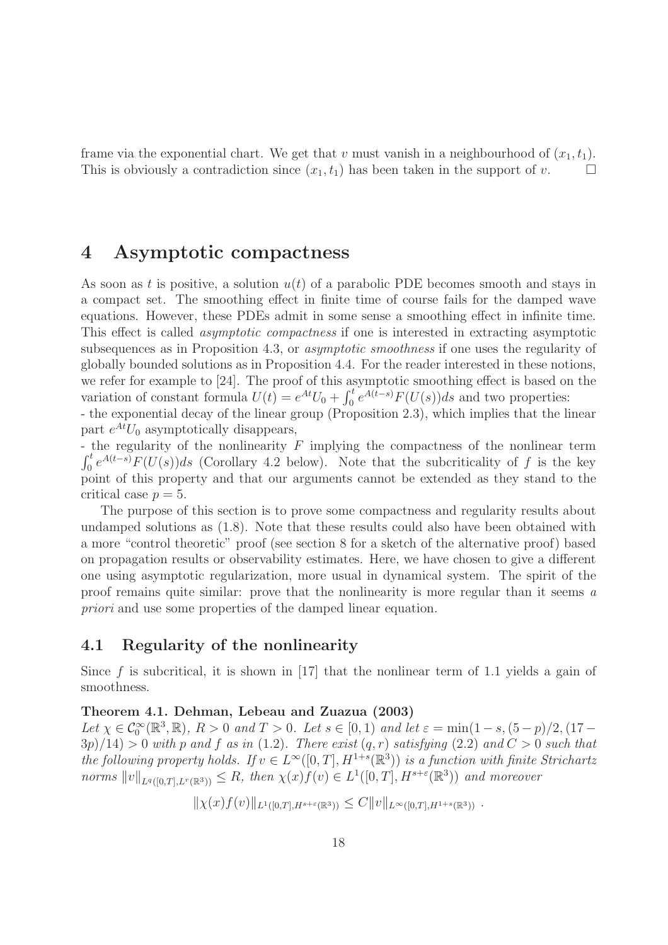frame via the exponential chart. We get that v must vanish in a neighbourhood of  $(x_1, t_1)$ . This is obviously a contradiction since  $(x_1, t_1)$  has been taken in the support of v.  $\Box$ 

## 4 Asymptotic compactness

As soon as t is positive, a solution  $u(t)$  of a parabolic PDE becomes smooth and stays in a compact set. The smoothing effect in finite time of course fails for the damped wave equations. However, these PDEs admit in some sense a smoothing effect in infinite time. This effect is called asymptotic compactness if one is interested in extracting asymptotic subsequences as in Proposition 4.3, or asymptotic smoothness if one uses the regularity of globally bounded solutions as in Proposition 4.4. For the reader interested in these notions, we refer for example to [24]. The proof of this asymptotic smoothing effect is based on the variation of constant formula  $U(t) = e^{At}U_0 + \int_0^t e^{A(t-s)} F(U(s))ds$  and two properties:

- the exponential decay of the linear group (Proposition 2.3), which implies that the linear part  $e^{At}U_0$  asymptotically disappears,

- the regularity of the nonlinearity F implying the compactness of the nonlinear term  $\int_{0}^{t}$  $\int_0^t e^{A(t-s)} F(U(s)) ds$  (Corollary 4.2 below). Note that the subcriticality of f is the key point of this property and that our arguments cannot be extended as they stand to the critical case  $p = 5$ .

The purpose of this section is to prove some compactness and regularity results about undamped solutions as (1.8). Note that these results could also have been obtained with a more "control theoretic" proof (see section 8 for a sketch of the alternative proof) based on propagation results or observability estimates. Here, we have chosen to give a different one using asymptotic regularization, more usual in dynamical system. The spirit of the proof remains quite similar: prove that the nonlinearity is more regular than it seems a priori and use some properties of the damped linear equation.

### 4.1 Regularity of the nonlinearity

Since f is subcritical, it is shown in  $[17]$  that the nonlinear term of 1.1 yields a gain of smoothness.

#### Theorem 4.1. Dehman, Lebeau and Zuazua (2003)

Let  $\chi \in \mathcal{C}_0^{\infty}(\mathbb{R}^3, \mathbb{R})$ ,  $R > 0$  and  $T > 0$ . Let  $s \in [0, 1)$  and let  $\varepsilon = \min(1 - s, (5 - p)/2, (17 - p)/2)$  $3p/14$ ) > 0 with p and f as in (1.2). There exist  $(q, r)$  satisfying (2.2) and  $C > 0$  such that the following property holds. If  $v \in L^{\infty}([0, T], H^{1+s}(\mathbb{R}^3))$  is a function with finite Strichartz norms  $||v||_{L^q([0,T],L^r(\mathbb{R}^3))} \leq R$ , then  $\chi(x)f(v) \in L^1([0,T],H^{s+\varepsilon}(\mathbb{R}^3))$  and moreover

 $\|\chi(x)f(v)\|_{L^1([0,T],H^{s+\varepsilon}(\mathbb{R}^3))} \leq C \|v\|_{L^\infty([0,T],H^{1+s}(\mathbb{R}^3))}$ .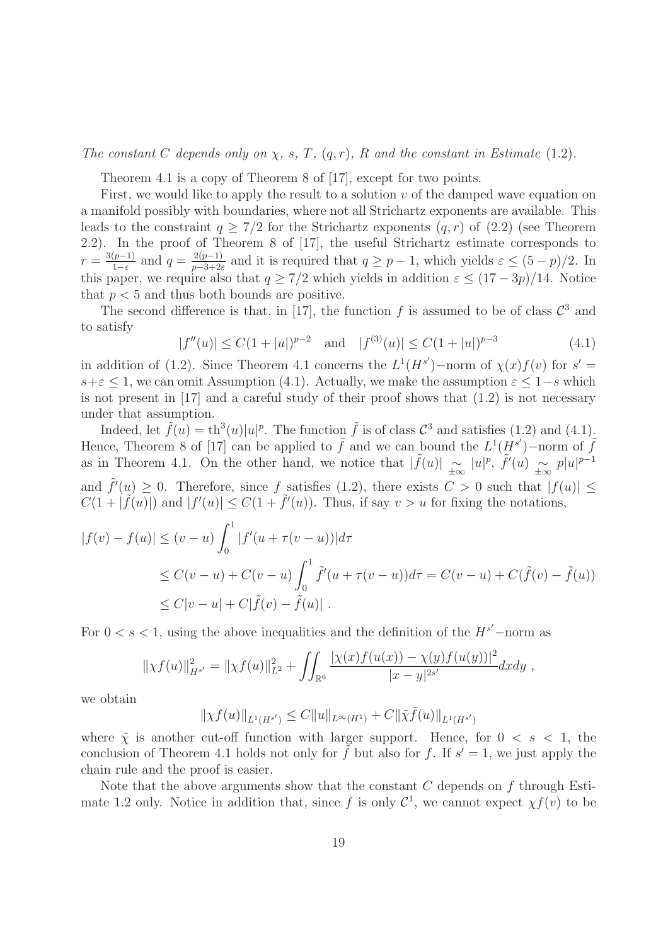The constant C depends only on  $\chi$ , s, T,  $(q, r)$ , R and the constant in Estimate (1.2).

Theorem 4.1 is a copy of Theorem 8 of [17], except for two points.

First, we would like to apply the result to a solution  $v$  of the damped wave equation on a manifold possibly with boundaries, where not all Strichartz exponents are available. This leads to the constraint  $q > 7/2$  for the Strichartz exponents  $(q, r)$  of  $(2.2)$  (see Theorem 2.2). In the proof of Theorem 8 of [17], the useful Strichartz estimate corresponds to  $r = \frac{3(p-1)}{1-\varepsilon}$  $\frac{(p-1)}{1-\varepsilon}$  and  $q = \frac{2(p-1)}{p-3+2\varepsilon}$  $\frac{2(p-1)}{p-3+2\varepsilon}$  and it is required that  $q \geq p-1$ , which yields  $\varepsilon \leq (5-p)/2$ . In this paper, we require also that  $q > 7/2$  which yields in addition  $\varepsilon \leq (17-3p)/14$ . Notice that  $p < 5$  and thus both bounds are positive.

The second difference is that, in [17], the function f is assumed to be of class  $\mathcal{C}^3$  and to satisfy

$$
|f''(u)| \le C(1+|u|)^{p-2} \quad \text{and} \quad |f^{(3)}(u)| \le C(1+|u|)^{p-3} \tag{4.1}
$$

in addition of (1.2). Since Theorem 4.1 concerns the  $L^1(H^{s'})$ -norm of  $\chi(x)f(v)$  for  $s' =$  $s+\varepsilon \leq 1$ , we can omit Assumption (4.1). Actually, we make the assumption  $\varepsilon \leq 1-s$  which is not present in [17] and a careful study of their proof shows that (1.2) is not necessary under that assumption.

Indeed, let  $\tilde{f}(u) = \text{th}^3(u)|u|^p$ . The function  $\tilde{f}$  is of class  $\mathcal{C}^3$  and satisfies (1.2) and (4.1). Hence, Theorem 8 of [17] can be applied to  $\tilde{f}$  and we can bound the  $L^1(\tilde{H}^{s'})$ -norm of  $\tilde{f}$ as in Theorem 4.1. On the other hand, we notice that  $|\tilde{f}(u)| \propto |u|^p$ ,  $\tilde{f}'(u) \propto p|u|^{p-1}$ and  $\tilde{f}'(u) \ge 0$ . Therefore, since f satisfies (1.2), there exists  $C > 0$  such that  $|f(u)| \le$  $C(1+|\tilde{f}(u)|)$  and  $|f'(u)| \leq C(1+|\tilde{f}'(u)|)$ . Thus, if say  $v > u$  for fixing the notations,

$$
|f(v) - f(u)| \le (v - u) \int_0^1 |f'(u + \tau(v - u))| d\tau
$$
  
\n
$$
\le C(v - u) + C(v - u) \int_0^1 \tilde{f}'(u + \tau(v - u)) d\tau = C(v - u) + C(\tilde{f}(v) - \tilde{f}(u))
$$
  
\n
$$
\le C|v - u| + C|\tilde{f}(v) - \tilde{f}(u)|.
$$

For  $0 < s < 1$ , using the above inequalities and the definition of the  $H^{s'}$ -norm as

$$
\|\chi f(u)\|_{H^{s'}}^2 = \|\chi f(u)\|_{L^2}^2 + \iint_{\mathbb{R}^6} \frac{|\chi(x)f(u(x)) - \chi(y)f(u(y))|^2}{|x - y|^{2s'}} dx dy,
$$

we obtain

$$
\|\chi f(u)\|_{L^1(H^{s'})} \leq C \|u\|_{L^\infty(H^1)} + C \|\tilde{\chi}\tilde{f}(u)\|_{L^1(H^{s'})}
$$

where  $\tilde{\chi}$  is another cut-off function with larger support. Hence, for  $0 < s < 1$ , the conclusion of Theorem 4.1 holds not only for  $\tilde{f}$  but also for f. If  $s' = 1$ , we just apply the chain rule and the proof is easier.

Note that the above arguments show that the constant  $C$  depends on  $f$  through Estimate 1.2 only. Notice in addition that, since f is only  $\mathcal{C}^1$ , we cannot expect  $\chi f(v)$  to be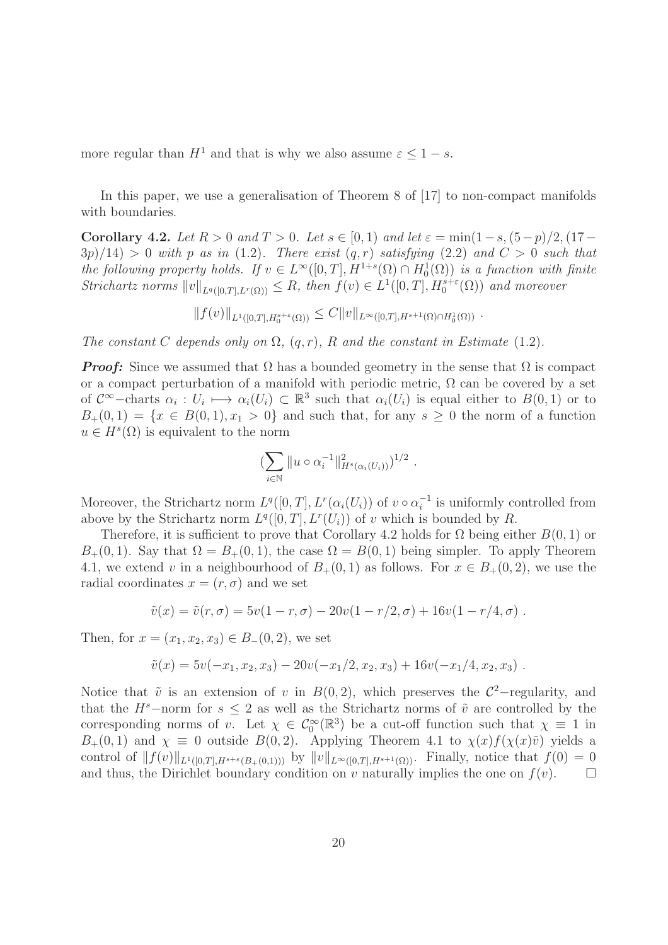more regular than  $H^1$  and that is why we also assume  $\varepsilon \leq 1-s$ .

In this paper, we use a generalisation of Theorem 8 of [17] to non-compact manifolds with boundaries.

Corollary 4.2. Let  $R > 0$  and  $T > 0$ . Let  $s \in [0,1)$  and let  $\varepsilon = \min(1-s,(5-p)/2,(17-p)/2)$  $3p/14$ ) > 0 with p as in (1.2). There exist  $(q, r)$  satisfying (2.2) and  $C > 0$  such that the following property holds. If  $v \in L^{\infty}([0,T], H^{1+s}(\Omega) \cap H_0^1(\Omega))$  is a function with finite Strichartz norms  $||v||_{L^q([0,T],L^r(\Omega))} \leq R$ , then  $f(v) \in L^1([0,T],H_0^{s+\varepsilon}(\Omega))$  and moreover

$$
||f(v)||_{L^{1}([0,T],H_0^{s+\varepsilon}(\Omega))} \leq C||v||_{L^{\infty}([0,T],H^{s+1}(\Omega)\cap H_0^1(\Omega))}.
$$

The constant C depends only on  $\Omega$ ,  $(q, r)$ , R and the constant in Estimate (1.2).

*Proof:* Since we assumed that  $\Omega$  has a bounded geometry in the sense that  $\Omega$  is compact or a compact perturbation of a manifold with periodic metric,  $\Omega$  can be covered by a set of  $\mathcal{C}^{\infty}$ -charts  $\alpha_i: U_i \mapsto \alpha_i(U_i) \subset \mathbb{R}^3$  such that  $\alpha_i(U_i)$  is equal either to  $B(0,1)$  or to  $B_+(0,1) = \{x \in B(0,1), x_1 > 0\}$  and such that, for any  $s \geq 0$  the norm of a function  $u \in H<sup>s</sup>(\Omega)$  is equivalent to the norm

$$
\left(\sum_{i\in\mathbb{N}}\|u\circ\alpha_i^{-1}\|_{H^s(\alpha_i(U_i))}^2\right)^{1/2}.
$$

Moreover, the Strichartz norm  $L^q([0,T], L^r(\alpha_i(U_i))$  of  $v \circ \alpha_i^{-1}$  $i^{-1}$  is uniformly controlled from above by the Strichartz norm  $L^q([0,T], L^r(U_i))$  of v which is bounded by R.

Therefore, it is sufficient to prove that Corollary 4.2 holds for  $\Omega$  being either  $B(0, 1)$  or  $B_+(0,1)$ . Say that  $\Omega = B_+(0,1)$ , the case  $\Omega = B(0,1)$  being simpler. To apply Theorem 4.1, we extend v in a neighbourhood of  $B_+(0,1)$  as follows. For  $x \in B_+(0,2)$ , we use the radial coordinates  $x = (r, \sigma)$  and we set

$$
\tilde{v}(x) = \tilde{v}(r,\sigma) = 5v(1-r,\sigma) - 20v(1-r/2,\sigma) + 16v(1-r/4,\sigma).
$$

Then, for  $x = (x_1, x_2, x_3) \in B_-(0, 2)$ , we set

$$
\tilde{v}(x) = 5v(-x_1, x_2, x_3) - 20v(-x_1/2, x_2, x_3) + 16v(-x_1/4, x_2, x_3).
$$

Notice that  $\tilde{v}$  is an extension of v in  $B(0, 2)$ , which preserves the  $\mathcal{C}^2$ -regularity, and that the  $H^s$ –norm for  $s \leq 2$  as well as the Strichartz norms of  $\tilde{v}$  are controlled by the corresponding norms of v. Let  $\chi \in C_0^{\infty}(\mathbb{R}^3)$  be a cut-off function such that  $\chi \equiv 1$  in  $B_+(0,1)$  and  $\chi \equiv 0$  outside  $B(0,2)$ . Applying Theorem 4.1 to  $\chi(x)f(\chi(x)\tilde{v})$  yields a control of  $||f(v)||_{L^1([0,T],H^{s+\varepsilon}(B_+(0,1)))}$  by  $||v||_{L^{\infty}([0,T],H^{s+1}(\Omega))}$ . Finally, notice that  $f(0) = 0$  and thus, the Dirichlet boundary condition on v naturally implies the one on  $f(v)$ . and thus, the Dirichlet boundary condition on v naturally implies the one on  $f(v)$ .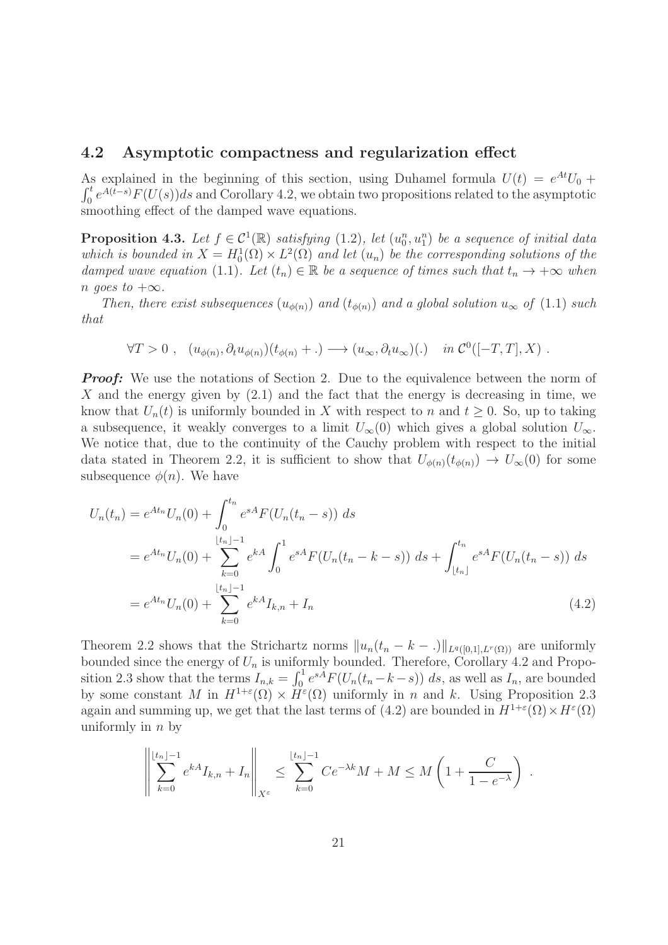#### 4.2 Asymptotic compactness and regularization effect

As explained in the beginning of this section, using Duhamel formula  $U(t) = e^{At}U_0 +$  $\int_0^t e^{A(t-s)} F(U(s)) ds$  and Corollary 4.2, we obtain two propositions related to the asymptotic smoothing effect of the damped wave equations.

**Proposition 4.3.** Let  $f \in C^1(\mathbb{R})$  satisfying  $(1.2)$ , let  $(u_0^n, u_1^n)$  be a sequence of initial data which is bounded in  $X = H_0^1(\Omega) \times L^2(\Omega)$  and let  $(u_n)$  be the corresponding solutions of the damped wave equation (1.1). Let  $(t_n) \in \mathbb{R}$  be a sequence of times such that  $t_n \to +\infty$  when n goes to  $+\infty$ .

Then, there exist subsequences  $(u_{\phi(n)})$  and  $(t_{\phi(n)})$  and a global solution  $u_{\infty}$  of (1.1) such that

$$
\forall T > 0 \;, \quad (u_{\phi(n)}, \partial_t u_{\phi(n)}) (t_{\phi(n)} + .) \longrightarrow (u_{\infty}, \partial_t u_{\infty}) (.) \quad \text{in } C^0([-T, T], X) \; .
$$

*Proof:* We use the notations of Section 2. Due to the equivalence between the norm of X and the energy given by  $(2.1)$  and the fact that the energy is decreasing in time, we know that  $U_n(t)$  is uniformly bounded in X with respect to n and  $t \geq 0$ . So, up to taking a subsequence, it weakly converges to a limit  $U_{\infty}(0)$  which gives a global solution  $U_{\infty}$ . We notice that, due to the continuity of the Cauchy problem with respect to the initial data stated in Theorem 2.2, it is sufficient to show that  $U_{\phi(n)}(t_{\phi(n)}) \to U_{\infty}(0)$  for some subsequence  $\phi(n)$ . We have

$$
U_n(t_n) = e^{At_n} U_n(0) + \int_0^{t_n} e^{sA} F(U_n(t_n - s)) ds
$$
  
=  $e^{At_n} U_n(0) + \sum_{k=0}^{\lfloor t_n \rfloor - 1} e^{kA} \int_0^1 e^{sA} F(U_n(t_n - k - s)) ds + \int_{\lfloor t_n \rfloor}^{t_n} e^{sA} F(U_n(t_n - s)) ds$   
=  $e^{At_n} U_n(0) + \sum_{k=0}^{\lfloor t_n \rfloor - 1} e^{kA} I_{k,n} + I_n$  (4.2)

Theorem 2.2 shows that the Strichartz norms  $||u_n(t_n - k -.)||_{L^q([0,1],L^r(\Omega))}$  are uniformly bounded since the energy of  $U_n$  is uniformly bounded. Therefore, Corollary 4.2 and Proposition 2.3 show that the terms  $I_{n,k} = \int_0^1 e^{sA} F(U_n(t_n - k - s)) ds$ , as well as  $I_n$ , are bounded by some constant M in  $H^{1+\varepsilon}(\Omega) \times H^{\varepsilon}(\Omega)$  uniformly in n and k. Using Proposition 2.3 again and summing up, we get that the last terms of (4.2) are bounded in  $H^{1+\varepsilon}(\Omega) \times H^{\varepsilon}(\Omega)$ uniformly in  $n$  by

$$
\left\| \sum_{k=0}^{\lfloor t_n \rfloor - 1} e^{kA} I_{k,n} + I_n \right\|_{X^{\varepsilon}} \le \sum_{k=0}^{\lfloor t_n \rfloor - 1} C e^{-\lambda k} M + M \le M \left( 1 + \frac{C}{1 - e^{-\lambda}} \right) .
$$

 $\ddot{\phantom{a}}$ 

 $\ddot{\phantom{a}}$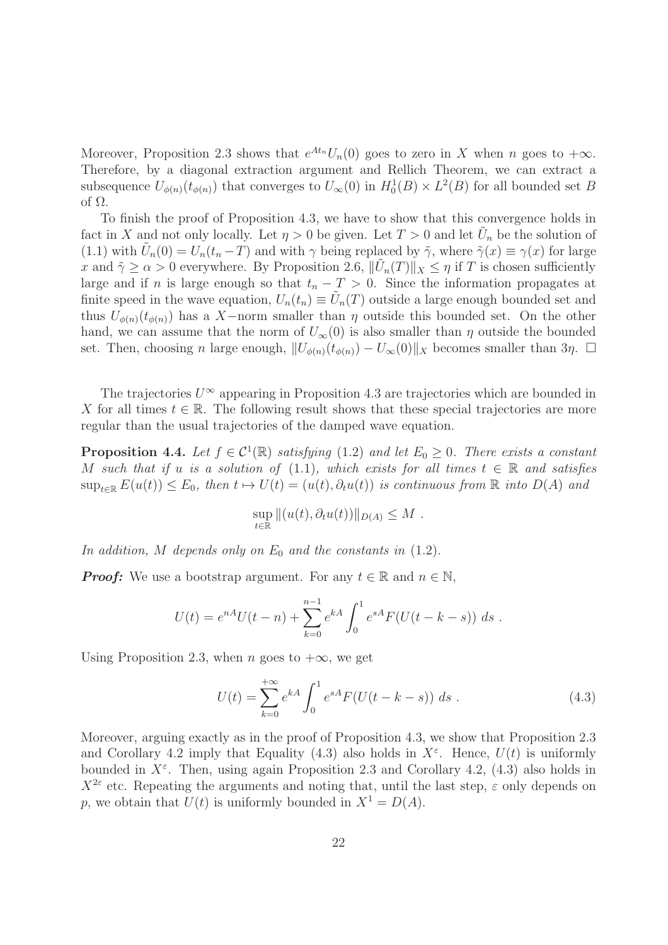Moreover, Proposition 2.3 shows that  $e^{At_n}U_n(0)$  goes to zero in X when n goes to  $+\infty$ . Therefore, by a diagonal extraction argument and Rellich Theorem, we can extract a subsequence  $U_{\phi(n)}(t_{\phi(n)})$  that converges to  $U_{\infty}(0)$  in  $H_0^1(B) \times L^2(B)$  for all bounded set B of Ω.

To finish the proof of Proposition 4.3, we have to show that this convergence holds in fact in X and not only locally. Let  $\eta > 0$  be given. Let  $T > 0$  and let  $\tilde{U}_n$  be the solution of (1.1) with  $\tilde{U}_n(0) = U_n(t_n - T)$  and with  $\gamma$  being replaced by  $\tilde{\gamma}$ , where  $\tilde{\gamma}(x) \equiv \gamma(x)$  for large x and  $\tilde{\gamma} \ge \alpha > 0$  everywhere. By Proposition 2.6,  $\|\tilde{U}_n(T)\|_X \le \eta$  if T is chosen sufficiently large and if n is large enough so that  $t_n - T > 0$ . Since the information propagates at finite speed in the wave equation,  $U_n(t_n) \equiv \tilde{U}_n(T)$  outside a large enough bounded set and thus  $U_{\phi(n)}(t_{\phi(n)})$  has a X-norm smaller than  $\eta$  outside this bounded set. On the other hand, we can assume that the norm of  $U_{\infty}(0)$  is also smaller than  $\eta$  outside the bounded set. Then, choosing n large enough,  $||U_{\phi(n)}(t_{\phi(n)}) - U_{\infty}(0)||_X$  becomes smaller than  $3\eta$ .  $\square$ 

The trajectories  $U^{\infty}$  appearing in Proposition 4.3 are trajectories which are bounded in X for all times  $t \in \mathbb{R}$ . The following result shows that these special trajectories are more regular than the usual trajectories of the damped wave equation.

**Proposition 4.4.** Let  $f \in C^1(\mathbb{R})$  satisfying (1.2) and let  $E_0 \geq 0$ . There exists a constant M such that if u is a solution of (1.1), which exists for all times  $t \in \mathbb{R}$  and satisfies  $\sup_{t\in\mathbb{R}} E(u(t)) \leq E_0$ , then  $t \mapsto U(t) = (u(t), \partial_t u(t))$  is continuous from  $\mathbb{R}$  into  $D(A)$  and

$$
\sup_{t\in\mathbb{R}}||(u(t),\partial_t u(t))||_{D(A)}\leq M.
$$

In addition, M depends only on  $E_0$  and the constants in (1.2).

*Proof:* We use a bootstrap argument. For any  $t \in \mathbb{R}$  and  $n \in \mathbb{N}$ ,

$$
U(t) = e^{nA}U(t - n) + \sum_{k=0}^{n-1} e^{kA} \int_0^1 e^{sA} F(U(t - k - s)) ds.
$$

Using Proposition 2.3, when n goes to  $+\infty$ , we get

$$
U(t) = \sum_{k=0}^{+\infty} e^{kA} \int_0^1 e^{sA} F(U(t - k - s)) ds . \qquad (4.3)
$$

Moreover, arguing exactly as in the proof of Proposition 4.3, we show that Proposition 2.3 and Corollary 4.2 imply that Equality (4.3) also holds in  $X^{\varepsilon}$ . Hence,  $U(t)$  is uniformly bounded in  $X^{\varepsilon}$ . Then, using again Proposition 2.3 and Corollary 4.2, (4.3) also holds in  $X^{2\varepsilon}$  etc. Repeating the arguments and noting that, until the last step,  $\varepsilon$  only depends on p, we obtain that  $U(t)$  is uniformly bounded in  $X^1 = D(A)$ .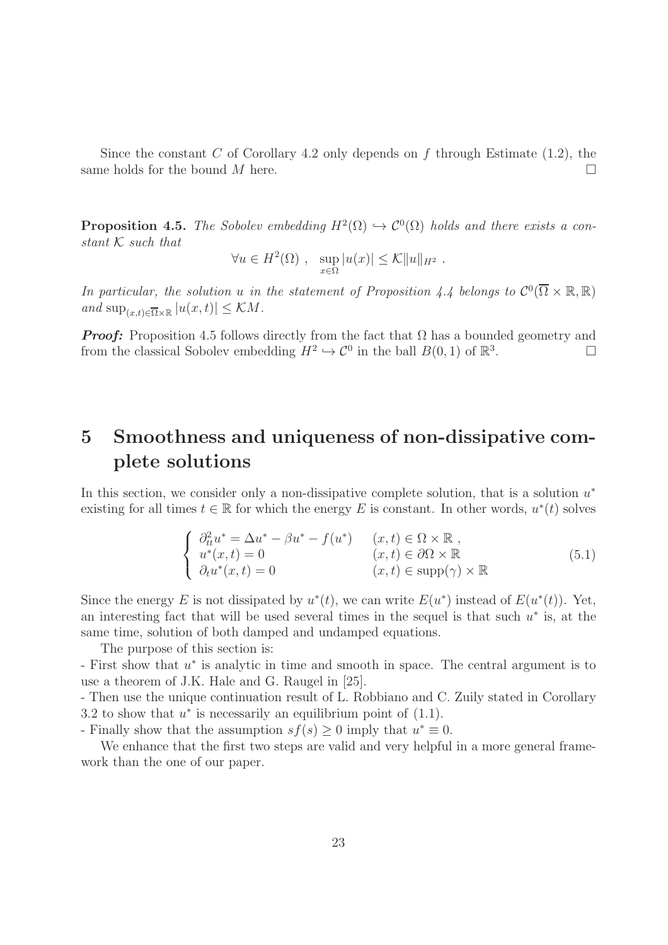Since the constant C of Corollary 4.2 only depends on f through Estimate  $(1.2)$ , the same holds for the bound M here.

**Proposition 4.5.** The Sobolev embedding  $H^2(\Omega) \hookrightarrow C^0(\Omega)$  holds and there exists a constant  $K$  such that

$$
\forall u \in H^{2}(\Omega) , \quad \sup_{x \in \Omega} |u(x)| \leq \mathcal{K} ||u||_{H^{2}} .
$$

In particular, the solution u in the statement of Proposition 4.4 belongs to  $\mathcal{C}^0(\overline{\Omega}\times\mathbb{R},\mathbb{R})$ and  $\sup_{(x,t)\in\overline{\Omega}\times\mathbb{R}}|u(x,t)|\leq \mathcal{K}M$ .

*Proof:* Proposition 4.5 follows directly from the fact that  $\Omega$  has a bounded geometry and from the classical Sobolev embedding  $H^2 \hookrightarrow \mathcal{C}^0$  in the ball  $B(0, 1)$  of  $\mathbb{R}^3$ .

# 5 Smoothness and uniqueness of non-dissipative complete solutions

In this section, we consider only a non-dissipative complete solution, that is a solution  $u^*$ existing for all times  $t \in \mathbb{R}$  for which the energy E is constant. In other words,  $u^*(t)$  solves

$$
\begin{cases}\n\partial_{tt}^{2}u^{*} = \Delta u^{*} - \beta u^{*} - f(u^{*}) & (x, t) \in \Omega \times \mathbb{R} ,\\ u^{*}(x, t) = 0 & (x, t) \in \partial\Omega \times \mathbb{R} \\ \partial_{t}u^{*}(x, t) = 0 & (x, t) \in \text{supp}(\gamma) \times \mathbb{R}\n\end{cases}
$$
\n(5.1)

Since the energy E is not dissipated by  $u^*(t)$ , we can write  $E(u^*)$  instead of  $E(u^*(t))$ . Yet, an interesting fact that will be used several times in the sequel is that such  $u^*$  is, at the same time, solution of both damped and undamped equations.

The purpose of this section is:

- First show that u ∗ is analytic in time and smooth in space. The central argument is to use a theorem of J.K. Hale and G. Raugel in [25].

- Then use the unique continuation result of L. Robbiano and C. Zuily stated in Corollary 3.2 to show that  $u^*$  is necessarily an equilibrium point of  $(1.1)$ .

- Finally show that the assumption  $sf(s) \geq 0$  imply that  $u^* \equiv 0$ .

We enhance that the first two steps are valid and very helpful in a more general framework than the one of our paper.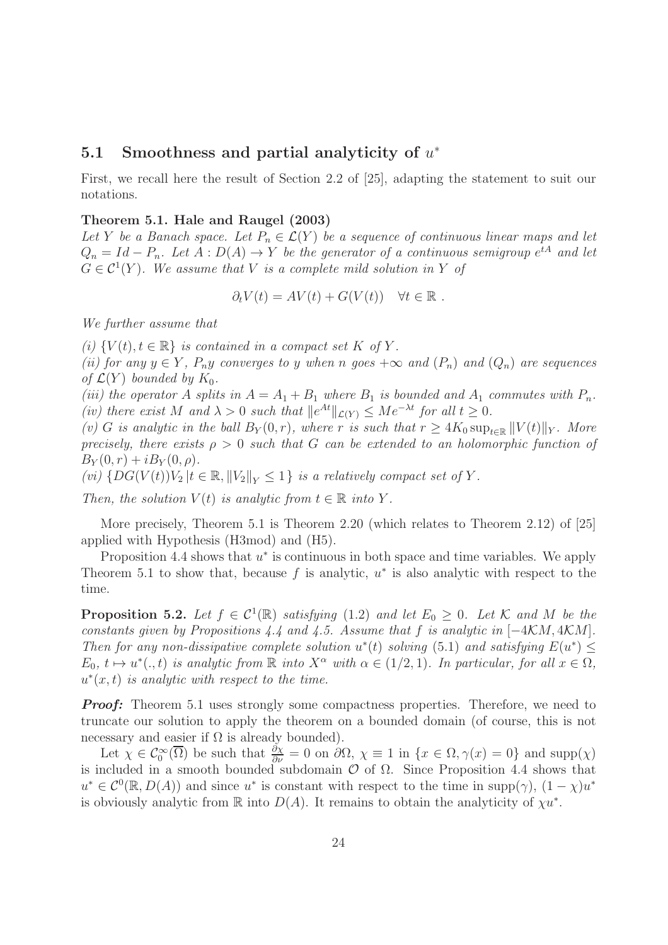### $5.1$  Smoothness and partial analyticity of  $u^*$

First, we recall here the result of Section 2.2 of [25], adapting the statement to suit our notations.

#### Theorem 5.1. Hale and Raugel (2003)

Let Y be a Banach space. Let  $P_n \in \mathcal{L}(Y)$  be a sequence of continuous linear maps and let  $Q_n = Id - P_n$ . Let  $A : D(A) \to Y$  be the generator of a continuous semigroup  $e^{tA}$  and let  $G \in \mathcal{C}^1(Y)$ . We assume that V is a complete mild solution in Y of

$$
\partial_t V(t) = AV(t) + G(V(t)) \quad \forall t \in \mathbb{R} .
$$

We further assume that

(i)  $\{V(t), t \in \mathbb{R}\}\$ is contained in a compact set K of Y.

(ii) for any  $y \in Y$ ,  $P_n y$  converges to y when n goes  $+\infty$  and  $(P_n)$  and  $(Q_n)$  are sequences of  $\mathcal{L}(Y)$  bounded by  $K_0$ .

(iii) the operator A splits in  $A = A_1 + B_1$  where  $B_1$  is bounded and  $A_1$  commutes with  $P_n$ . (iv) there exist M and  $\lambda > 0$  such that  $||e^{At}||_{\mathcal{L}(Y)} \leq Me^{-\lambda t}$  for all  $t \geq 0$ .

(v) G is analytic in the ball  $B_Y(0,r)$ , where r is such that  $r \geq 4K_0 \sup_{t \in \mathbb{R}} ||V(t)||_Y$ . More precisely, there exists  $\rho > 0$  such that G can be extended to an holomorphic function of  $B_Y(0,r) + iB_Y(0,\rho).$ 

(vi)  $\{DG(V(t))V_2 \mid t \in \mathbb{R}, ||V_2||_Y \leq 1\}$  is a relatively compact set of Y.

Then, the solution  $V(t)$  is analytic from  $t \in \mathbb{R}$  into Y.

More precisely, Theorem 5.1 is Theorem 2.20 (which relates to Theorem 2.12) of [25] applied with Hypothesis (H3mod) and (H5).

Proposition 4.4 shows that  $u^*$  is continuous in both space and time variables. We apply Theorem 5.1 to show that, because  $f$  is analytic,  $u^*$  is also analytic with respect to the time.

**Proposition 5.2.** Let  $f \in C^1(\mathbb{R})$  satisfying (1.2) and let  $E_0 \geq 0$ . Let K and M be the constants given by Propositions 4.4 and 4.5. Assume that f is analytic in [−4KM, 4KM]. Then for any non-dissipative complete solution  $u^*(t)$  solving (5.1) and satisfying  $E(u^*) \leq$  $E_0, t \mapsto u^*(., t)$  is analytic from R into  $X^{\alpha}$  with  $\alpha \in (1/2, 1)$ . In particular, for all  $x \in \Omega$ ,  $u^*(x,t)$  is analytic with respect to the time.

*Proof:* Theorem 5.1 uses strongly some compactness properties. Therefore, we need to truncate our solution to apply the theorem on a bounded domain (of course, this is not necessary and easier if  $\Omega$  is already bounded).

Let  $\chi \in \mathcal{C}_0^{\infty}(\overline{\Omega})$  be such that  $\frac{\partial \chi}{\partial \nu} = 0$  on  $\partial \Omega$ ,  $\chi \equiv 1$  in  $\{x \in \Omega, \gamma(x) = 0\}$  and supp $(\chi)$ is included in a smooth bounded subdomain  $\mathcal O$  of  $\Omega$ . Since Proposition 4.4 shows that  $u^* \in \mathcal{C}^0(\mathbb{R}, D(A))$  and since  $u^*$  is constant with respect to the time in supp $(\gamma)$ ,  $(1 - \chi)u^*$ is obviously analytic from  $\mathbb R$  into  $D(A)$ . It remains to obtain the analyticity of  $\chi u^*$ .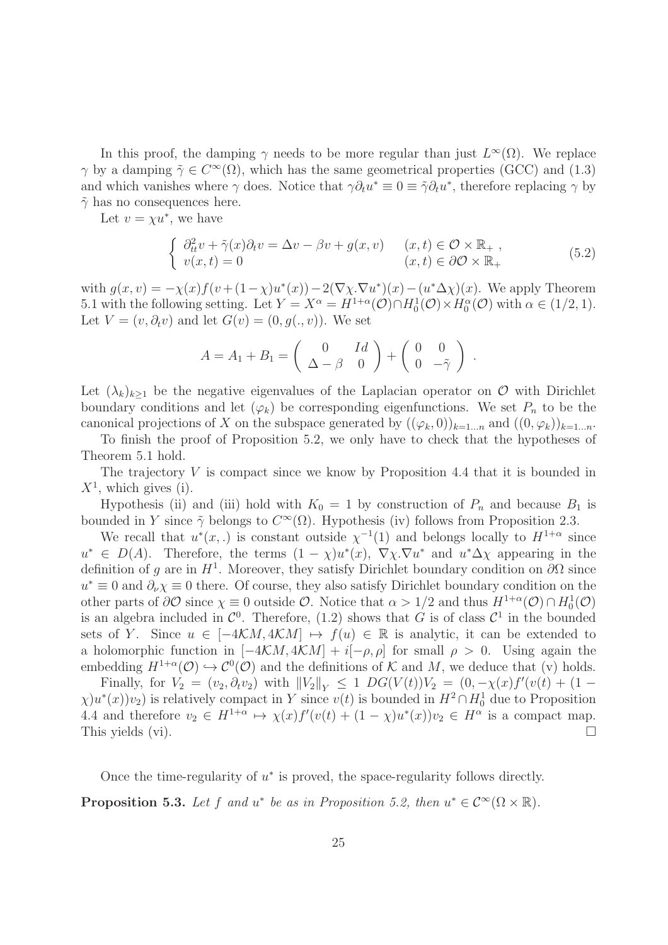In this proof, the damping  $\gamma$  needs to be more regular than just  $L^{\infty}(\Omega)$ . We replace  $\gamma$  by a damping  $\tilde{\gamma} \in C^{\infty}(\Omega)$ , which has the same geometrical properties (GCC) and (1.3) and which vanishes where  $\gamma$  does. Notice that  $\gamma \partial_t u^* \equiv 0 \equiv \tilde{\gamma} \partial_t u^*$ , therefore replacing  $\gamma$  by  $\tilde{\gamma}$  has no consequences here.

Let  $v = \chi u^*$ , we have

$$
\begin{cases}\n\partial_{tt}^{2} v + \tilde{\gamma}(x)\partial_{t} v = \Delta v - \beta v + g(x, v) & (x, t) \in \mathcal{O} \times \mathbb{R}_{+} ,\\ \nv(x, t) = 0 & (x, t) \in \partial \mathcal{O} \times \mathbb{R}_{+}\n\end{cases}
$$
\n(5.2)

with  $g(x, v) = -\chi(x)f(v + (1 - \chi)u^*(x)) - 2(\nabla \chi \cdot \nabla u^*)(x) - (u^*\Delta \chi)(x)$ . We apply Theorem 5.1 with the following setting. Let  $Y = X^{\alpha} = H^{1+\alpha}(\mathcal{O}) \cap H_0^1(\mathcal{O}) \times H_0^{\alpha}(\mathcal{O})$  with  $\alpha \in (1/2, 1)$ . Let  $V = (v, \partial_t v)$  and let  $G(v) = (0, g(., v))$ . We set

$$
A = A_1 + B_1 = \begin{pmatrix} 0 & Id \\ \Delta - \beta & 0 \end{pmatrix} + \begin{pmatrix} 0 & 0 \\ 0 & -\tilde{\gamma} \end{pmatrix}.
$$

Let  $(\lambda_k)_{k\geq 1}$  be the negative eigenvalues of the Laplacian operator on  $\mathcal O$  with Dirichlet boundary conditions and let  $(\varphi_k)$  be corresponding eigenfunctions. We set  $P_n$  to be the canonical projections of X on the subspace generated by  $((\varphi_k, 0))_{k=1...n}$  and  $((0, \varphi_k))_{k=1...n}$ .

To finish the proof of Proposition 5.2, we only have to check that the hypotheses of Theorem 5.1 hold.

The trajectory  $V$  is compact since we know by Proposition 4.4 that it is bounded in  $X^1$ , which gives (i).

Hypothesis (ii) and (iii) hold with  $K_0 = 1$  by construction of  $P_n$  and because  $B_1$  is bounded in Y since  $\tilde{\gamma}$  belongs to  $C^{\infty}(\Omega)$ . Hypothesis (iv) follows from Proposition 2.3.

We recall that  $u^*(x,.)$  is constant outside  $\chi^{-1}(1)$  and belongs locally to  $H^{1+\alpha}$  since  $u^* \in D(A)$ . Therefore, the terms  $(1 - \chi)u^*(x)$ ,  $\nabla \chi \cdot \nabla u^*$  and  $u^* \Delta \chi$  appearing in the definition of g are in  $H^1$ . Moreover, they satisfy Dirichlet boundary condition on  $\partial\Omega$  since  $u^* \equiv 0$  and  $\partial_\nu \chi \equiv 0$  there. Of course, they also satisfy Dirichlet boundary condition on the other parts of  $\partial\mathcal{O}$  since  $\chi \equiv 0$  outside  $\mathcal{O}$ . Notice that  $\alpha > 1/2$  and thus  $H^{1+\alpha}(\mathcal{O}) \cap H^1_0(\mathcal{O})$ is an algebra included in  $\mathcal{C}^0$ . Therefore, (1.2) shows that G is of class  $\mathcal{C}^1$  in the bounded sets of Y. Since  $u \in [-4\mathcal{K}M, 4\mathcal{K}M] \mapsto f(u) \in \mathbb{R}$  is analytic, it can be extended to a holomorphic function in  $[-4\mathcal{K}M, 4\mathcal{K}M] + i[-\rho, \rho]$  for small  $\rho > 0$ . Using again the embedding  $H^{1+\alpha}(\mathcal{O}) \hookrightarrow \mathcal{C}^0(\mathcal{O})$  and the definitions of K and M, we deduce that (v) holds.

Finally, for  $V_2 = (v_2, \partial_t v_2)$  with  $||V_2||_Y \le 1$   $DG(V(t))V_2 = (0, -\chi(x)f'(v(t)) + (1 \chi$ )u<sup>\*</sup>(x))v<sub>2</sub>) is relatively compact in Y since v(t) is bounded in  $H^2 \cap H_0^1$  due to Proposition 4.4 and therefore  $v_2 \in H^{1+\alpha} \mapsto \chi(x)f'(v(t) + (1-\chi)u^*(x))v_2 \in H^{\alpha}$  is a compact map. This yields (vi).  $\Box$ 

Once the time-regularity of  $u^*$  is proved, the space-regularity follows directly.

**Proposition 5.3.** Let f and  $u^*$  be as in Proposition 5.2, then  $u^* \in C^\infty(\Omega \times \mathbb{R})$ .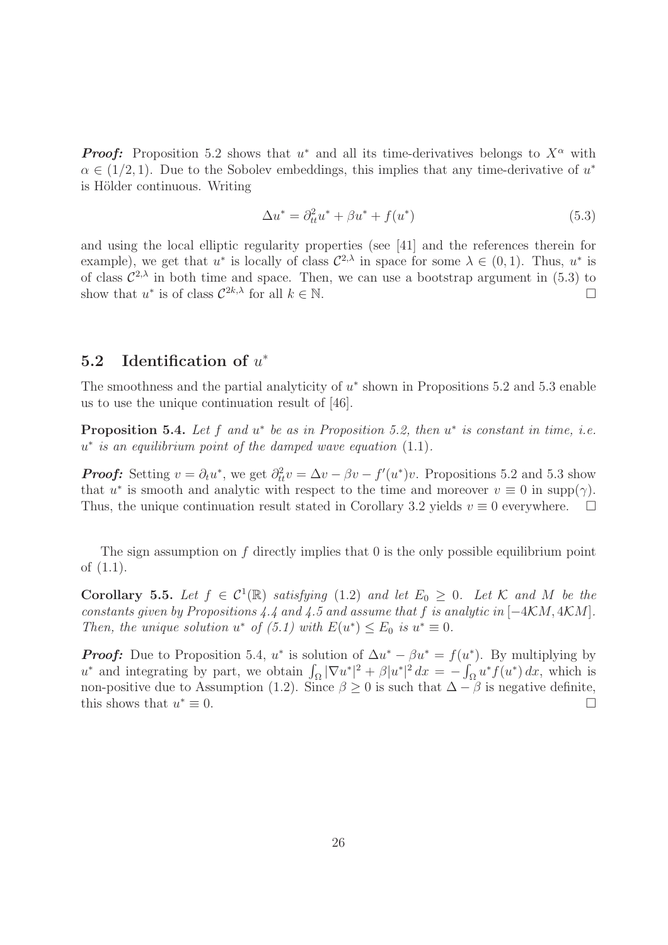*Proof:* Proposition 5.2 shows that  $u^*$  and all its time-derivatives belongs to  $X^{\alpha}$  with  $\alpha \in (1/2, 1)$ . Due to the Sobolev embeddings, this implies that any time-derivative of  $u^*$ is Hölder continuous. Writing

$$
\Delta u^* = \partial_{tt}^2 u^* + \beta u^* + f(u^*)
$$
\n(5.3)

and using the local elliptic regularity properties (see [41] and the references therein for example), we get that  $u^*$  is locally of class  $\mathcal{C}^{2,\lambda}$  in space for some  $\lambda \in (0,1)$ . Thus,  $u^*$  is of class  $\mathcal{C}^{2,\lambda}$  in both time and space. Then, we can use a bootstrap argument in (5.3) to show that  $u^*$  is of class  $C^{2k,\lambda}$  for all  $k \in \mathbb{N}$ .

### $5.2$  Identification of  $u^*$

The smoothness and the partial analyticity of  $u^*$  shown in Propositions 5.2 and 5.3 enable us to use the unique continuation result of [46].

**Proposition 5.4.** Let  $f$  and  $u^*$  be as in Proposition 5.2, then  $u^*$  is constant in time, i.e. u ∗ is an equilibrium point of the damped wave equation (1.1).

*Proof:* Setting  $v = \partial_t u^*$ , we get  $\partial_t^2 v = \Delta v - \beta v - f'(u^*)v$ . Propositions 5.2 and 5.3 show that  $u^*$  is smooth and analytic with respect to the time and moreover  $v \equiv 0$  in supp( $\gamma$ ). Thus, the unique continuation result stated in Corollary 3.2 yields  $v \equiv 0$  everywhere.  $\Box$ 

The sign assumption on  $f$  directly implies that  $0$  is the only possible equilibrium point of (1.1).

Corollary 5.5. Let  $f \in C^1(\mathbb{R})$  satisfying (1.2) and let  $E_0 \geq 0$ . Let K and M be the constants given by Propositions 4.4 and 4.5 and assume that f is analytic in [−4KM, 4KM]. Then, the unique solution  $u^*$  of (5.1) with  $E(u^*) \leq E_0$  is  $u^* \equiv 0$ .

*Proof:* Due to Proposition 5.4,  $u^*$  is solution of  $\Delta u^* - \beta u^* = f(u^*)$ . By multiplying by u<sup>\*</sup> and integrating by part, we obtain  $\int_{\Omega} |\nabla u^*|^2 + \beta |u^*|^2 dx = - \int_{\Omega} u^* f(u^*) dx$ , which is non-positive due to Assumption (1.2). Since  $\beta \ge 0$  is such that  $\Delta - \beta$  is negative definite, this shows that  $u^* \equiv 0$ . this shows that  $u^* \equiv 0$ .  $* \equiv 0.$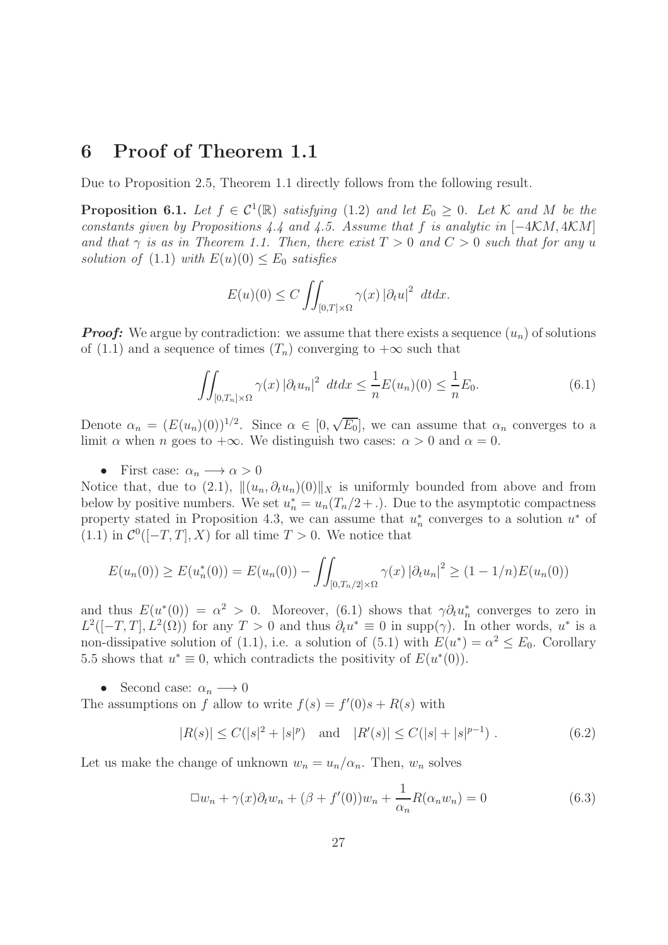# 6 Proof of Theorem 1.1

Due to Proposition 2.5, Theorem 1.1 directly follows from the following result.

**Proposition 6.1.** Let  $f \in C^1(\mathbb{R})$  satisfying (1.2) and let  $E_0 \geq 0$ . Let K and M be the constants given by Propositions 4.4 and 4.5. Assume that f is analytic in  $[-4KM, 4KM]$ and that  $\gamma$  is as in Theorem 1.1. Then, there exist  $T > 0$  and  $C > 0$  such that for any u solution of (1.1) with  $E(u)(0) \leq E_0$  satisfies

$$
E(u)(0) \le C \iint_{[0,T] \times \Omega} \gamma(x) |\partial_t u|^2 \ dt dx.
$$

*Proof:* We argue by contradiction: we assume that there exists a sequence  $(u_n)$  of solutions of (1.1) and a sequence of times  $(T_n)$  converging to  $+\infty$  such that

$$
\iint_{[0,T_n]\times\Omega} \gamma(x) \left|\partial_t u_n\right|^2 \, dt dx \le \frac{1}{n} E(u_n)(0) \le \frac{1}{n} E_0.
$$
\n(6.1)

Denote  $\alpha_n = (E(u_n)(0))^{1/2}$ . Since  $\alpha \in [0, \sqrt{E_0}]$ , we can assume that  $\alpha_n$  converges to a limit  $\alpha$  when n goes to  $+\infty$ . We distinguish two cases:  $\alpha > 0$  and  $\alpha = 0$ .

• First case:  $\alpha_n \longrightarrow \alpha > 0$ 

Notice that, due to (2.1),  $\|(u_n, \partial_t u_n)(0)\|_X$  is uniformly bounded from above and from below by positive numbers. We set  $u_n^* = u_n(T_n/2 + \ldots)$ . Due to the asymptotic compactness property stated in Proposition 4.3, we can assume that  $u_n^*$  converges to a solution  $u^*$  of (1.1) in  $\mathcal{C}^0([-T, T], X)$  for all time  $T > 0$ . We notice that

$$
E(u_n(0)) \ge E(u_n^*(0)) = E(u_n(0)) - \iint_{[0,T_n/2] \times \Omega} \gamma(x) |\partial_t u_n|^2 \ge (1 - 1/n) E(u_n(0))
$$

and thus  $E(u^*(0)) = \alpha^2 > 0$ . Moreover, (6.1) shows that  $\gamma \partial_t u_n^*$  converges to zero in  $L^2([-T,T], L^2(\Omega))$  for any  $T > 0$  and thus  $\partial_t u^* \equiv 0$  in supp( $\gamma$ ). In other words,  $u^*$  is a non-dissipative solution of (1.1), i.e. a solution of (5.1) with  $E(u^*) = \alpha^2 \le E_0$ . Corollary 5.5 shows that  $u^* \equiv 0$ , which contradicts the positivity of  $E(u^*(0))$ .

• Second case:  $\alpha_n \longrightarrow 0$ The assumptions on f allow to write  $f(s) = f'(0)s + R(s)$  with

$$
|R(s)| \le C(|s|^2 + |s|^p)
$$
 and  $|R'(s)| \le C(|s| + |s|^{p-1})$ . (6.2)

Let us make the change of unknown  $w_n = u_n/\alpha_n$ . Then,  $w_n$  solves

$$
\Box w_n + \gamma(x)\partial_t w_n + (\beta + f'(0))w_n + \frac{1}{\alpha_n}R(\alpha_n w_n) = 0
$$
\n(6.3)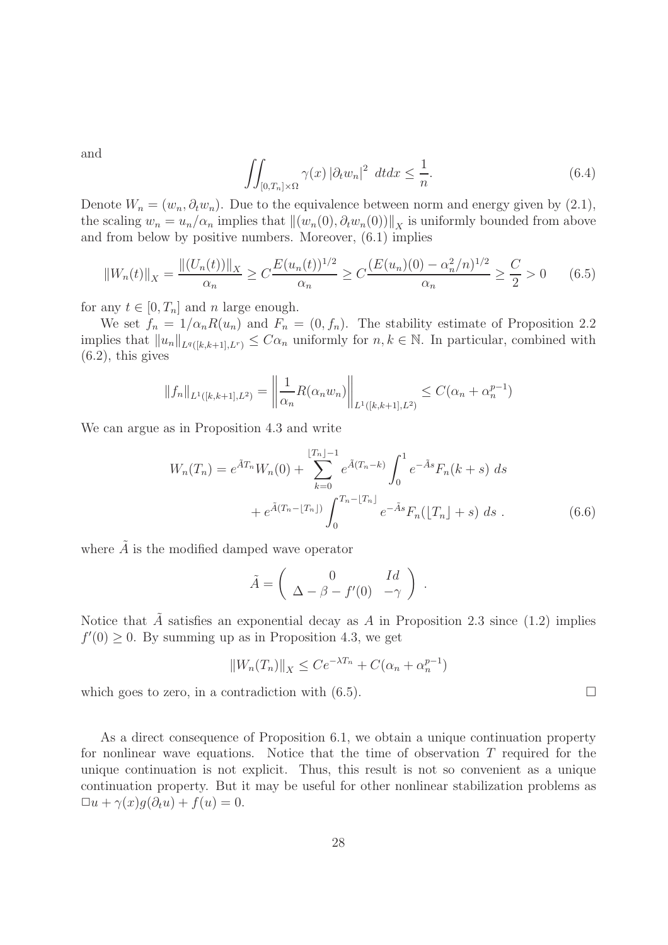and

$$
\iint_{[0,T_n]\times\Omega} \gamma(x) \left|\partial_t w_n\right|^2 \, dt dx \le \frac{1}{n}.\tag{6.4}
$$

Denote  $W_n = (w_n, \partial_t w_n)$ . Due to the equivalence between norm and energy given by (2.1), the scaling  $w_n = u_n/\alpha_n$  implies that  $\|(w_n(0), \partial_t w_n(0))\|_X$  is uniformly bounded from above and from below by positive numbers. Moreover, (6.1) implies

$$
||W_n(t)||_X = \frac{||(U_n(t))||_X}{\alpha_n} \ge C \frac{E(u_n(t))^{1/2}}{\alpha_n} \ge C \frac{(E(u_n)(0) - \alpha_n^2/n)^{1/2}}{\alpha_n} \ge \frac{C}{2} > 0 \quad (6.5)
$$

for any  $t \in [0, T_n]$  and n large enough.

We set  $f_n = 1/\alpha_n R(u_n)$  and  $F_n = (0, f_n)$ . The stability estimate of Proposition 2.2 implies that  $||u_n||_{L^q([k,k+1],L^r)} \leq C\alpha_n$  uniformly for  $n,k \in \mathbb{N}$ . In particular, combined with  $(6.2)$ , this gives

$$
||f_n||_{L^1([k,k+1],L^2)} = \left||\frac{1}{\alpha_n}R(\alpha_n w_n)\right||_{L^1([k,k+1],L^2)} \leq C(\alpha_n + \alpha_n^{p-1})
$$

We can argue as in Proposition 4.3 and write

$$
W_n(T_n) = e^{\tilde{A}T_n} W_n(0) + \sum_{k=0}^{\lfloor T_n \rfloor - 1} e^{\tilde{A}(T_n - k)} \int_0^1 e^{-\tilde{A}s} F_n(k+s) \, ds
$$
  
+  $e^{\tilde{A}(T_n - \lfloor T_n \rfloor)} \int_0^{T_n - \lfloor T_n \rfloor} e^{-\tilde{A}s} F_n(\lfloor T_n \rfloor + s) \, ds$ . (6.6)

where  $\tilde{A}$  is the modified damped wave operator

$$
\tilde{A} = \begin{pmatrix} 0 & Id \\ \Delta - \beta - f'(0) & -\gamma \end{pmatrix} .
$$

Notice that A satisfies an exponential decay as A in Proposition 2.3 since  $(1.2)$  implies  $f'(0) \geq 0$ . By summing up as in Proposition 4.3, we get

$$
||W_n(T_n)||_X \le Ce^{-\lambda T_n} + C(\alpha_n + \alpha_n^{p-1})
$$

which goes to zero, in a contradiction with  $(6.5)$ .

As a direct consequence of Proposition 6.1, we obtain a unique continuation property for nonlinear wave equations. Notice that the time of observation  $T$  required for the unique continuation is not explicit. Thus, this result is not so convenient as a unique continuation property. But it may be useful for other nonlinear stabilization problems as  $\Box u + \gamma(x)g(\partial_t u) + f(u) = 0.$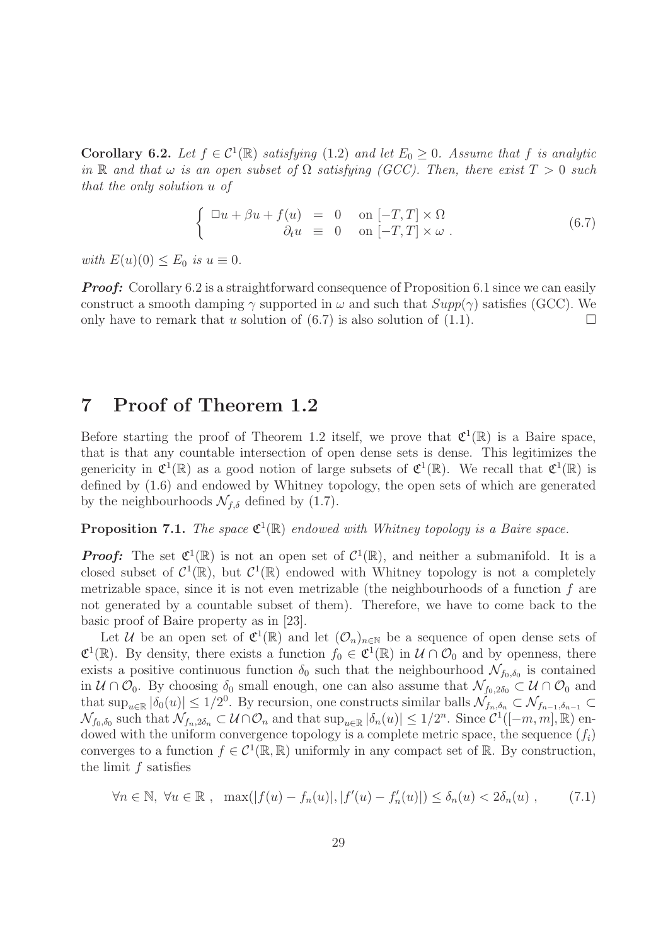Corollary 6.2. Let  $f \in C^1(\mathbb{R})$  satisfying  $(1.2)$  and let  $E_0 \geq 0$ . Assume that f is analytic in R and that  $\omega$  is an open subset of  $\Omega$  satisfying (GCC). Then, there exist  $T > 0$  such that the only solution u of

$$
\begin{cases}\n\Box u + \beta u + f(u) = 0 & \text{on } [-T, T] \times \Omega \\
\partial_t u = 0 & \text{on } [-T, T] \times \omega\n\end{cases}
$$
\n(6.7)

with  $E(u)(0) \leq E_0$  is  $u \equiv 0$ .

*Proof:* Corollary 6.2 is a straightforward consequence of Proposition 6.1 since we can easily construct a smooth damping  $\gamma$  supported in  $\omega$  and such that  $Supp(\gamma)$  satisfies (GCC). We only have to remark that u solution of  $(6.7)$  is also solution of  $(1.1)$ .

## 7 Proof of Theorem 1.2

Before starting the proof of Theorem 1.2 itself, we prove that  $\mathfrak{C}^1(\mathbb{R})$  is a Baire space, that is that any countable intersection of open dense sets is dense. This legitimizes the genericity in  $\mathfrak{C}^1(\mathbb{R})$  as a good notion of large subsets of  $\mathfrak{C}^1(\mathbb{R})$ . We recall that  $\mathfrak{C}^1(\mathbb{R})$  is defined by (1.6) and endowed by Whitney topology, the open sets of which are generated by the neighbourhoods  $\mathcal{N}_{f,\delta}$  defined by (1.7).

## **Proposition 7.1.** The space  $\mathfrak{C}^1(\mathbb{R})$  endowed with Whitney topology is a Baire space.

*Proof:* The set  $\mathfrak{C}^1(\mathbb{R})$  is not an open set of  $\mathcal{C}^1(\mathbb{R})$ , and neither a submanifold. It is a closed subset of  $C^1(\mathbb{R})$ , but  $C^1(\mathbb{R})$  endowed with Whitney topology is not a completely metrizable space, since it is not even metrizable (the neighbourhoods of a function f are not generated by a countable subset of them). Therefore, we have to come back to the basic proof of Baire property as in [23].

Let U be an open set of  $\mathfrak{C}^1(\mathbb{R})$  and let  $(\mathcal{O}_n)_{n\in\mathbb{N}}$  be a sequence of open dense sets of  $\mathfrak{C}^1(\mathbb{R})$ . By density, there exists a function  $f_0 \in \mathfrak{C}^1(\mathbb{R})$  in  $\mathcal{U} \cap \mathcal{O}_0$  and by openness, there exists a positive continuous function  $\delta_0$  such that the neighbourhood  $\mathcal{N}_{f_0, \delta_0}$  is contained in  $\mathcal{U} \cap \mathcal{O}_0$ . By choosing  $\delta_0$  small enough, one can also assume that  $\mathcal{N}_{f_0,2\delta_0} \subset \mathcal{U} \cap \mathcal{O}_0$  and that  $\sup_{u\in\mathbb{R}}|\delta_0(u)| \leq 1/2^0$ . By recursion, one constructs similar balls  $\mathcal{N}_{f_n,\delta_n} \subset \mathcal{N}_{f_{n-1},\delta_{n-1}} \subset$  $\mathcal{N}_{f_0,\delta_0}$  such that  $\mathcal{N}_{f_n,2\delta_n} \subset \mathcal{U} \cap \mathcal{O}_n$  and that  $\sup_{u \in \mathbb{R}} |\delta_n(u)| \leq 1/2^n$ . Since  $\mathcal{C}^1([-m,m],\mathbb{R})$  endowed with the uniform convergence topology is a complete metric space, the sequence  $(f_i)$ converges to a function  $f \in C^1(\mathbb{R}, \mathbb{R})$  uniformly in any compact set of  $\mathbb{R}$ . By construction, the limit f satisfies

$$
\forall n \in \mathbb{N}, \ \forall u \in \mathbb{R}, \ \max(|f(u) - f_n(u)|, |f'(u) - f'_n(u)|) \le \delta_n(u) < 2\delta_n(u) \,,\tag{7.1}
$$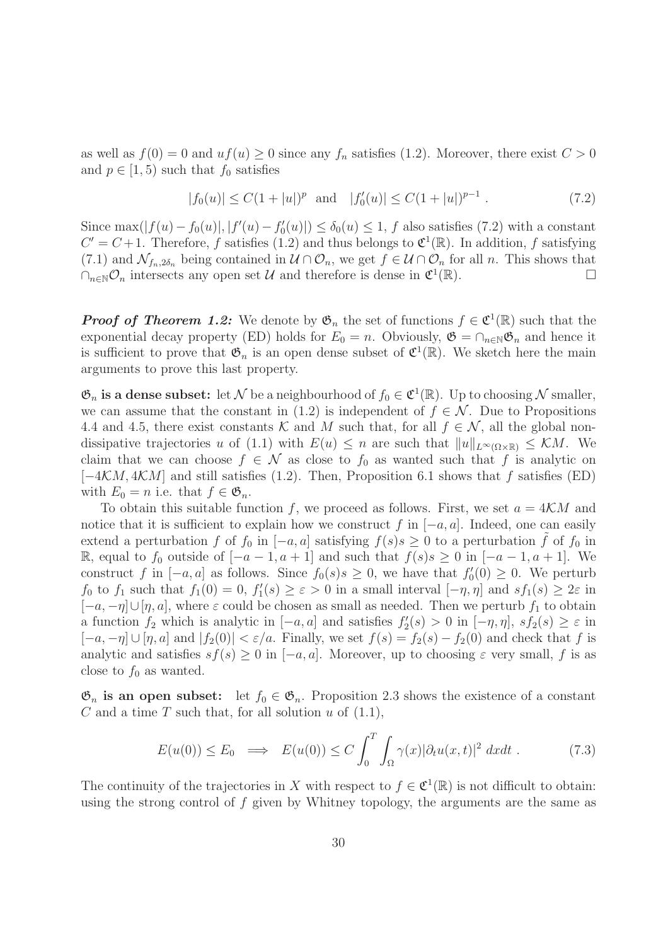as well as  $f(0) = 0$  and  $uf(u) \ge 0$  since any  $f_n$  satisfies (1.2). Moreover, there exist  $C > 0$ and  $p \in [1, 5)$  such that  $f_0$  satisfies

$$
|f_0(u)| \le C(1+|u|)^p \quad \text{and} \quad |f'_0(u)| \le C(1+|u|)^{p-1} \tag{7.2}
$$

Since  $\max(|f(u)-f_0(u)|, |f'(u)-f'_0(u)|) \le \delta_0(u) \le 1$ , f also satisfies (7.2) with a constant  $C' = C + 1$ . Therefore, f satisfies (1.2) and thus belongs to  $\mathfrak{C}^1(\mathbb{R})$ . In addition, f satisfying (7.1) and  $\mathcal{N}_{f_n,2\delta_n}$  being contained in  $\mathcal{U} \cap \mathcal{O}_n$ , we get  $f \in \mathcal{U} \cap \mathcal{O}_n$  for all n. This shows that  $\bigcap_{n\in\mathbb{N}}\mathcal{O}_n$  intersects any open set  $\mathcal{U}$  and therefore is dense in  $\mathfrak{C}^1(\mathbb{R})$ .  $\cap_{n\in\mathbb{N}}\mathcal{O}_n$  intersects any open set U and therefore is dense in  $\mathfrak{C}^1(\mathbb{R})$ .

*Proof of Theorem 1.2:* We denote by  $\mathfrak{G}_n$  the set of functions  $f \in \mathfrak{C}^1(\mathbb{R})$  such that the exponential decay property (ED) holds for  $E_0 = n$ . Obviously,  $\mathfrak{G} = \cap_{n \in \mathbb{N}} \mathfrak{G}_n$  and hence it is sufficient to prove that  $\mathfrak{G}_n$  is an open dense subset of  $\mathfrak{C}^1(\mathbb{R})$ . We sketch here the main arguments to prove this last property.

 $\mathfrak{G}_n$  is a dense subset: let N be a neighbourhood of  $f_0 \in \mathfrak{C}^1(\mathbb{R})$ . Up to choosing N smaller, we can assume that the constant in (1.2) is independent of  $f \in \mathcal{N}$ . Due to Propositions 4.4 and 4.5, there exist constants K and M such that, for all  $f \in \mathcal{N}$ , all the global nondissipative trajectories u of (1.1) with  $E(u) \leq n$  are such that  $||u||_{L^{\infty}(\Omega \times \mathbb{R})} \leq \mathcal{K}M$ . We claim that we can choose  $f \in \mathcal{N}$  as close to  $f_0$  as wanted such that f is analytic on  $[-4\mathcal{K}M, 4\mathcal{K}M]$  and still satisfies (1.2). Then, Proposition 6.1 shows that f satisfies (ED) with  $E_0 = n$  i.e. that  $f \in \mathfrak{G}_n$ .

To obtain this suitable function f, we proceed as follows. First, we set  $a = 4KM$  and notice that it is sufficient to explain how we construct f in  $[-a, a]$ . Indeed, one can easily extend a perturbation f of  $f_0$  in  $[-a, a]$  satisfying  $f(s)s \geq 0$  to a perturbation f of  $f_0$  in R, equal to  $f_0$  outside of  $[-a-1, a+1]$  and such that  $f(s)s ≥ 0$  in  $[-a-1, a+1]$ . We construct f in  $[-a, a]$  as follows. Since  $f_0(s) s \geq 0$ , we have that  $f'_0(0) \geq 0$ . We perturb  $f_0$  to  $f_1$  such that  $f_1(0) = 0$ ,  $f'_1(s) \ge \varepsilon > 0$  in a small interval  $[-\eta, \eta]$  and  $sf_1(s) \ge 2\varepsilon$  in  $[-a, -\eta] \cup [\eta, a]$ , where  $\varepsilon$  could be chosen as small as needed. Then we perturb  $f_1$  to obtain a function  $f_2$  which is analytic in  $[-a, a]$  and satisfies  $f'_2(s) > 0$  in  $[-\eta, \eta]$ ,  $sf_2(s) \ge \varepsilon$  in  $[-a, -\eta] \cup [\eta, a]$  and  $|f_2(0)| < \varepsilon/a$ . Finally, we set  $f(s) = f_2(s) - f_2(0)$  and check that f is analytic and satisfies  $sf(s) \geq 0$  in  $[-a, a]$ . Moreover, up to choosing  $\varepsilon$  very small, f is as close to  $f_0$  as wanted.

 $\mathfrak{G}_n$  is an open subset: let  $f_0 \in \mathfrak{G}_n$ . Proposition 2.3 shows the existence of a constant C and a time T such that, for all solution  $u$  of  $(1.1)$ ,

$$
E(u(0)) \le E_0 \implies E(u(0)) \le C \int_0^T \int_{\Omega} \gamma(x) |\partial_t u(x, t)|^2 dx dt . \tag{7.3}
$$

The continuity of the trajectories in X with respect to  $f \in \mathfrak{C}^1(\mathbb{R})$  is not difficult to obtain: using the strong control of  $f$  given by Whitney topology, the arguments are the same as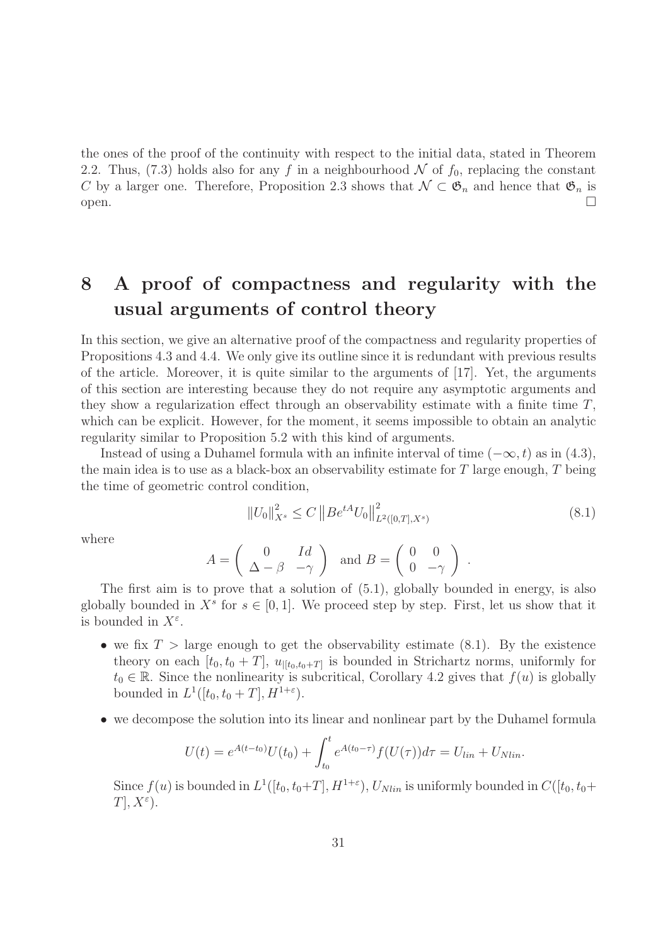the ones of the proof of the continuity with respect to the initial data, stated in Theorem 2.2. Thus, (7.3) holds also for any f in a neighbourhood N of  $f_0$ , replacing the constant C by a larger one. Therefore, Proposition 2.3 shows that  $\mathcal{N} \subset \mathfrak{G}_n$  and hence that  $\mathfrak{G}_n$  is open.  $open.$ 

# 8 A proof of compactness and regularity with the usual arguments of control theory

In this section, we give an alternative proof of the compactness and regularity properties of Propositions 4.3 and 4.4. We only give its outline since it is redundant with previous results of the article. Moreover, it is quite similar to the arguments of [17]. Yet, the arguments of this section are interesting because they do not require any asymptotic arguments and they show a regularization effect through an observability estimate with a finite time  $T$ , which can be explicit. However, for the moment, it seems impossible to obtain an analytic regularity similar to Proposition 5.2 with this kind of arguments.

Instead of using a Duhamel formula with an infinite interval of time  $(-\infty, t)$  as in  $(4.3)$ , the main idea is to use as a black-box an observability estimate for  $T$  large enough,  $T$  being the time of geometric control condition,

$$
||U_0||_{X^s}^2 \le C ||B e^{tA} U_0||_{L^2([0,T],X^s)}^2
$$
\n(8.1)

where

$$
A = \begin{pmatrix} 0 & Id \\ \Delta - \beta & -\gamma \end{pmatrix} \text{ and } B = \begin{pmatrix} 0 & 0 \\ 0 & -\gamma \end{pmatrix}.
$$

The first aim is to prove that a solution of (5.1), globally bounded in energy, is also globally bounded in  $X^s$  for  $s \in [0,1]$ . We proceed step by step. First, let us show that it is bounded in  $X^{\varepsilon}$ .

- we fix  $T >$  large enough to get the observability estimate (8.1). By the existence theory on each  $[t_0, t_0 + T]$ ,  $u_{|[t_0, t_0 + T]}$  is bounded in Strichartz norms, uniformly for  $t_0 \in \mathbb{R}$ . Since the nonlinearity is subcritical, Corollary 4.2 gives that  $f(u)$  is globally bounded in  $L^1([t_0, t_0+T], H^{1+\varepsilon}).$
- we decompose the solution into its linear and nonlinear part by the Duhamel formula

$$
U(t) = e^{A(t-t_0)}U(t_0) + \int_{t_0}^t e^{A(t_0-\tau)}f(U(\tau))d\tau = U_{lin} + U_{Nlin}.
$$

Since  $f(u)$  is bounded in  $L^1([t_0, t_0+T], H^{1+\varepsilon}), U_{Nlin}$  is uniformly bounded in  $C([t_0, t_0+T], H^{1+\varepsilon})$  $T, X^{\varepsilon}$ .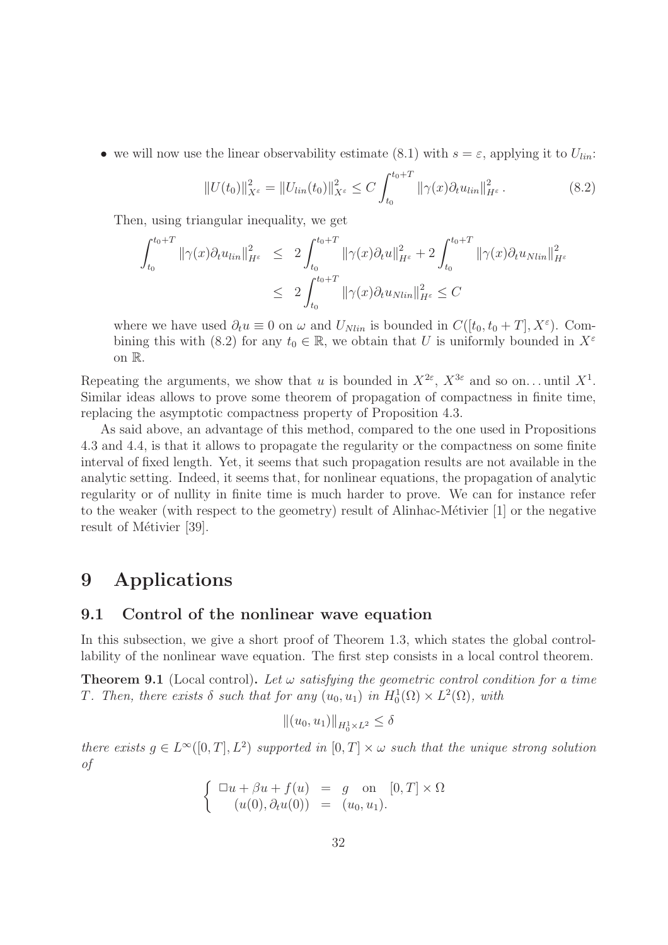• we will now use the linear observability estimate (8.1) with  $s = \varepsilon$ , applying it to  $U_{lin}$ :

$$
||U(t_0)||_{X^{\varepsilon}}^2 = ||U_{lin}(t_0)||_{X^{\varepsilon}}^2 \le C \int_{t_0}^{t_0+T} ||\gamma(x)\partial_t u_{lin}||_{H^{\varepsilon}}^2.
$$
 (8.2)

Then, using triangular inequality, we get

$$
\int_{t_0}^{t_0+T} \|\gamma(x)\partial_t u_{lin}\|_{H^{\varepsilon}}^2 \le 2 \int_{t_0}^{t_0+T} \|\gamma(x)\partial_t u\|_{H^{\varepsilon}}^2 + 2 \int_{t_0}^{t_0+T} \|\gamma(x)\partial_t u_{Nlin}\|_{H^{\varepsilon}}^2
$$
  

$$
\le 2 \int_{t_0}^{t_0+T} \|\gamma(x)\partial_t u_{Nlin}\|_{H^{\varepsilon}}^2 \le C
$$

where we have used  $\partial_t u \equiv 0$  on  $\omega$  and  $U_{Nlin}$  is bounded in  $C([t_0, t_0 + T], X^{\varepsilon})$ . Combining this with (8.2) for any  $t_0 \in \mathbb{R}$ , we obtain that U is uniformly bounded in  $X^{\varepsilon}$ on R.

Repeating the arguments, we show that u is bounded in  $X^{2\varepsilon}$ ,  $X^{3\varepsilon}$  and so on... until  $X^1$ . Similar ideas allows to prove some theorem of propagation of compactness in finite time, replacing the asymptotic compactness property of Proposition 4.3.

As said above, an advantage of this method, compared to the one used in Propositions 4.3 and 4.4, is that it allows to propagate the regularity or the compactness on some finite interval of fixed length. Yet, it seems that such propagation results are not available in the analytic setting. Indeed, it seems that, for nonlinear equations, the propagation of analytic regularity or of nullity in finite time is much harder to prove. We can for instance refer to the weaker (with respect to the geometry) result of Alinhac-Métivier  $[1]$  or the negative result of Métivier [39].

## 9 Applications

### 9.1 Control of the nonlinear wave equation

In this subsection, we give a short proof of Theorem 1.3, which states the global controllability of the nonlinear wave equation. The first step consists in a local control theorem.

**Theorem 9.1** (Local control). Let  $\omega$  satisfying the geometric control condition for a time T. Then, there exists  $\delta$  such that for any  $(u_0, u_1)$  in  $H_0^1(\Omega) \times L^2(\Omega)$ , with

$$
\|(u_0, u_1)\|_{H_0^1 \times L^2} \le \delta
$$

there exists  $g \in L^{\infty}([0,T], L^2)$  supported in  $[0,T] \times \omega$  such that the unique strong solution of

$$
\begin{cases} \n\Box u + \beta u + f(u) = g \text{ on } [0, T] \times \Omega \\ \n(u(0), \partial_t u(0)) = (u_0, u_1). \n\end{cases}
$$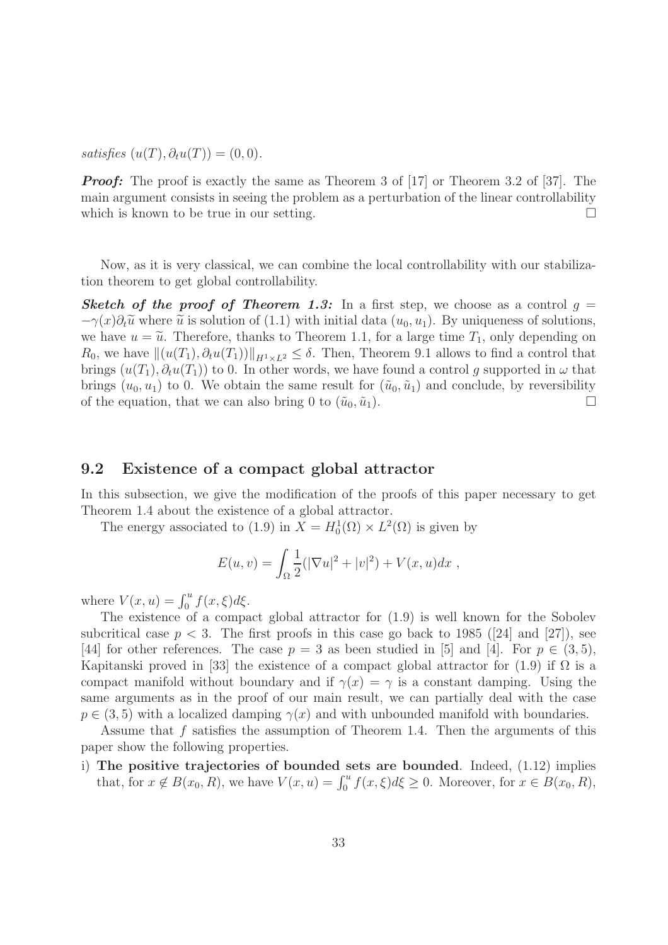satisfies  $(u(T), \partial_t u(T)) = (0, 0)$ .

*Proof:* The proof is exactly the same as Theorem 3 of [17] or Theorem 3.2 of [37]. The main argument consists in seeing the problem as a perturbation of the linear controllability which is known to be true in our setting.  $\Box$ 

Now, as it is very classical, we can combine the local controllability with our stabilization theorem to get global controllability.

**Sketch of the proof of Theorem 1.3:** In a first step, we choose as a control  $q =$  $-\gamma(x)\partial_t\tilde{u}$  where  $\tilde{u}$  is solution of (1.1) with initial data  $(u_0, u_1)$ . By uniqueness of solutions, we have  $u = \tilde{u}$ . Therefore, thanks to Theorem 1.1, for a large time  $T_1$ , only depending on  $R_0$ , we have  $\|(u(T_1), \partial_t u(T_1))\|_{H^1 \times L^2} \leq \delta$ . Then, Theorem 9.1 allows to find a control that brings  $(u(T_1), \partial_t u(T_1))$  to 0. In other words, we have found a control g supported in  $\omega$  that brings  $(u_0, u_1)$  to 0. We obtain the same result for  $(\tilde{u}_0, \tilde{u}_1)$  and conclude, by reversibility of the equation, that we can also bring 0 to  $(\tilde{u}_0, \tilde{u}_1)$ .

### 9.2 Existence of a compact global attractor

In this subsection, we give the modification of the proofs of this paper necessary to get Theorem 1.4 about the existence of a global attractor.

The energy associated to (1.9) in  $X = H_0^1(\Omega) \times L^2(\Omega)$  is given by

$$
E(u, v) = \int_{\Omega} \frac{1}{2} (|\nabla u|^2 + |v|^2) + V(x, u) dx ,
$$

where  $V(x, u) = \int_0^u f(x, \xi) d\xi$ .

The existence of a compact global attractor for (1.9) is well known for the Sobolev subcritical case  $p < 3$ . The first proofs in this case go back to 1985 ([24] and [27]), see [44] for other references. The case  $p = 3$  as been studied in [5] and [4]. For  $p \in (3, 5)$ , Kapitanski proved in [33] the existence of a compact global attractor for (1.9) if  $\Omega$  is a compact manifold without boundary and if  $\gamma(x) = \gamma$  is a constant damping. Using the same arguments as in the proof of our main result, we can partially deal with the case  $p \in (3, 5)$  with a localized damping  $\gamma(x)$  and with unbounded manifold with boundaries.

Assume that  $f$  satisfies the assumption of Theorem 1.4. Then the arguments of this paper show the following properties.

i) The positive trajectories of bounded sets are bounded. Indeed, (1.12) implies that, for  $x \notin B(x_0, R)$ , we have  $V(x, u) = \int_0^u f(x, \xi) d\xi \ge 0$ . Moreover, for  $x \in B(x_0, R)$ ,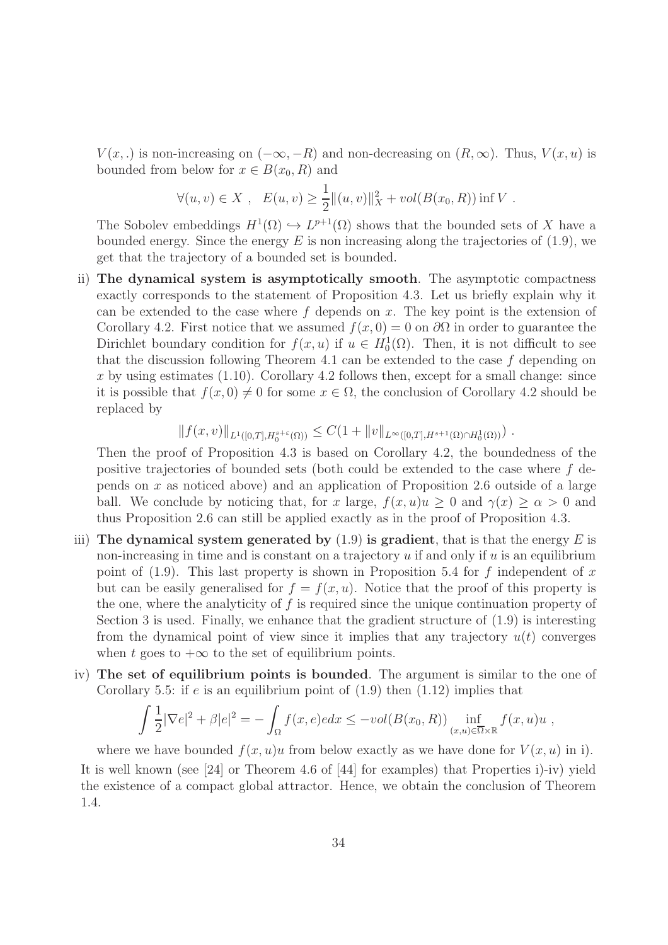$V(x,.)$  is non-increasing on  $(-\infty, -R)$  and non-decreasing on  $(R, \infty)$ . Thus,  $V(x, u)$  is bounded from below for  $x \in B(x_0, R)$  and

$$
\forall (u, v) \in X , \quad E(u, v) \ge \frac{1}{2} ||(u, v)||_X^2 + vol(B(x_0, R)) \inf V.
$$

The Sobolev embeddings  $H^1(\Omega) \hookrightarrow L^{p+1}(\Omega)$  shows that the bounded sets of X have a bounded energy. Since the energy  $E$  is non increasing along the trajectories of (1.9), we get that the trajectory of a bounded set is bounded.

ii) The dynamical system is asymptotically smooth. The asymptotic compactness exactly corresponds to the statement of Proposition 4.3. Let us briefly explain why it can be extended to the case where  $f$  depends on  $x$ . The key point is the extension of Corollary 4.2. First notice that we assumed  $f(x, 0) = 0$  on  $\partial\Omega$  in order to guarantee the Dirichlet boundary condition for  $f(x, u)$  if  $u \in H_0^1(\Omega)$ . Then, it is not difficult to see that the discussion following Theorem 4.1 can be extended to the case  $f$  depending on x by using estimates  $(1.10)$ . Corollary 4.2 follows then, except for a small change: since it is possible that  $f(x, 0) \neq 0$  for some  $x \in \Omega$ , the conclusion of Corollary 4.2 should be replaced by

$$
||f(x,v)||_{L^1([0,T],H_0^{s+\varepsilon}(\Omega))} \leq C(1+||v||_{L^{\infty}([0,T],H^{s+1}(\Omega)\cap H_0^1(\Omega))}) .
$$

Then the proof of Proposition 4.3 is based on Corollary 4.2, the boundedness of the positive trajectories of bounded sets (both could be extended to the case where f depends on x as noticed above) and an application of Proposition 2.6 outside of a large ball. We conclude by noticing that, for x large,  $f(x, u)u \geq 0$  and  $\gamma(x) \geq \alpha > 0$  and thus Proposition 2.6 can still be applied exactly as in the proof of Proposition 4.3.

- iii) The dynamical system generated by  $(1.9)$  is gradient, that is that the energy E is non-increasing in time and is constant on a trajectory  $u$  if and only if  $u$  is an equilibrium point of  $(1.9)$ . This last property is shown in Proposition 5.4 for f independent of x but can be easily generalised for  $f = f(x, u)$ . Notice that the proof of this property is the one, where the analyticity of f is required since the unique continuation property of Section 3 is used. Finally, we enhance that the gradient structure of (1.9) is interesting from the dynamical point of view since it implies that any trajectory  $u(t)$  converges when t goes to  $+\infty$  to the set of equilibrium points.
- iv) The set of equilibrium points is bounded. The argument is similar to the one of Corollary 5.5: if e is an equilibrium point of  $(1.9)$  then  $(1.12)$  implies that

$$
\int \frac{1}{2} |\nabla e|^2 + \beta |e|^2 = -\int_{\Omega} f(x, e) e dx \leq -\text{vol}(B(x_0, R)) \inf_{(x, u) \in \overline{\Omega} \times \mathbb{R}} f(x, u) u,
$$

where we have bounded  $f(x, u)u$  from below exactly as we have done for  $V(x, u)$  in i). It is well known (see [24] or Theorem 4.6 of [44] for examples) that Properties i)-iv) yield the existence of a compact global attractor. Hence, we obtain the conclusion of Theorem 1.4.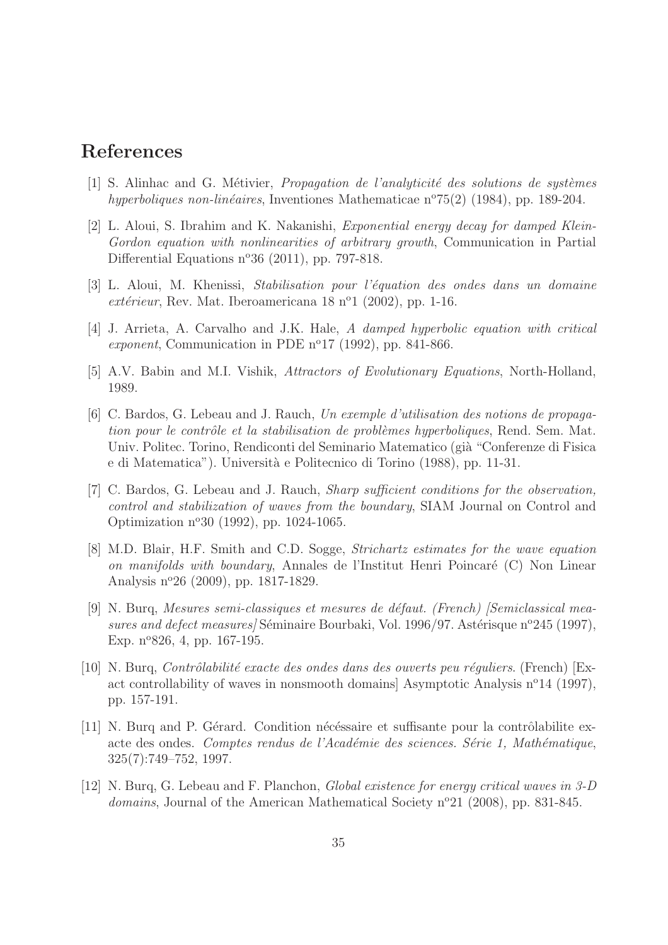# References

- $[1]$  S. Alinhac and G. Métivier, *Propagation de l'analyticité des solutions de systèmes* hyperboliques non-linéaires, Inventiones Mathematicae n°75(2) (1984), pp. 189-204.
- [2] L. Aloui, S. Ibrahim and K. Nakanishi, Exponential energy decay for damped Klein-Gordon equation with nonlinearities of arbitrary growth, Communication in Partial Differential Equations  $n^{\circ}36$  (2011), pp. 797-818.
- [3] L. Aloui, M. Khenissi, Stabilisation pour l'équation des ondes dans un domaine extérieur, Rev. Mat. Iberoamericana 18 n<sup>o</sup>1 (2002), pp. 1-16.
- [4] J. Arrieta, A. Carvalho and J.K. Hale, A damped hyperbolic equation with critical exponent, Communication in PDE  $n^{\circ}17$  (1992), pp. 841-866.
- [5] A.V. Babin and M.I. Vishik, Attractors of Evolutionary Equations, North-Holland, 1989.
- [6] C. Bardos, G. Lebeau and J. Rauch, Un exemple d'utilisation des notions de propagation pour le contrôle et la stabilisation de problèmes hyperboliques, Rend. Sem. Mat. Univ. Politec. Torino, Rendiconti del Seminario Matematico (già "Conferenze di Fisica e di Matematica"). Universit`a e Politecnico di Torino (1988), pp. 11-31.
- [7] C. Bardos, G. Lebeau and J. Rauch, *Sharp sufficient conditions for the observation*, control and stabilization of waves from the boundary, SIAM Journal on Control and Optimization n<sup>o</sup>30 (1992), pp. 1024-1065.
- [8] M.D. Blair, H.F. Smith and C.D. Sogge, Strichartz estimates for the wave equation on manifolds with boundary, Annales de l'Institut Henri Poincaré  $(C)$  Non Linear Analysis n<sup>o</sup> 26 (2009), pp. 1817-1829.
- [9] N. Burq, Mesures semi-classiques et mesures de défaut. (French) [Semiclassical measures and defect measures/Séminaire Bourbaki, Vol. 1996/97. Astérisque n°245 (1997), Exp.  $n^{\circ}826$ , 4, pp. 167-195.
- $[10]$  N. Burg, *Contrôlabilité exacte des ondes dans des ouverts peu réguliers.* (French) [Exact controllability of waves in nonsmooth domains] Asymptotic Analysis  $n^{\circ}14$  (1997), pp. 157-191.
- $[11]$  N. Burq and P. Gérard. Condition nécéssaire et suffisante pour la contrôlabilite exacte des ondes. Comptes rendus de l'Académie des sciences. S'érie 1, Mathématique, 325(7):749–752, 1997.
- [12] N. Burq, G. Lebeau and F. Planchon, Global existence for energy critical waves in 3-D domains, Journal of the American Mathematical Society n<sup>o</sup>21 (2008), pp. 831-845.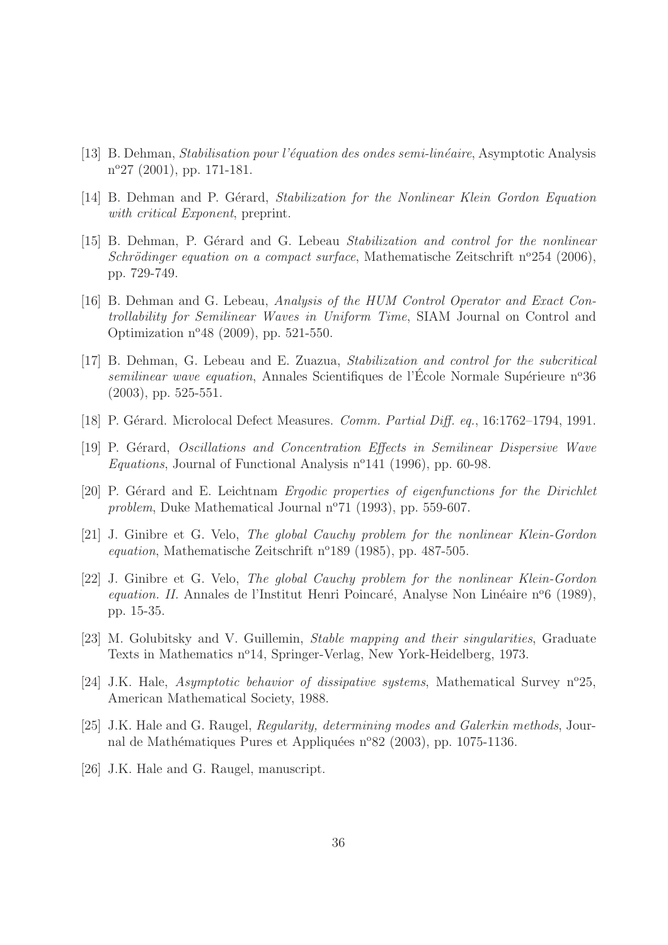- [13] B. Dehman, Stabilisation pour l'´equation des ondes semi-lin´eaire, Asymptotic Analysis n<sup>o</sup>27 (2001), pp. 171-181.
- [14] B. Dehman and P. Gérard, Stabilization for the Nonlinear Klein Gordon Equation with critical Exponent, preprint.
- [15] B. Dehman, P. Gérard and G. Lebeau Stabilization and control for the nonlinear Schrödinger equation on a compact surface, Mathematische Zeitschrift n°254 (2006), pp. 729-749.
- [16] B. Dehman and G. Lebeau, Analysis of the HUM Control Operator and Exact Controllability for Semilinear Waves in Uniform Time, SIAM Journal on Control and Optimization  $n^{o}48$  (2009), pp. 521-550.
- [17] B. Dehman, G. Lebeau and E. Zuazua, Stabilization and control for the subcritical  $semilinear wave equation$ , Annales Scientifiques de l'École Normale Supérieure n°36 (2003), pp. 525-551.
- [18] P. Gérard. Microlocal Defect Measures. *Comm. Partial Diff. eq.*, 16:1762–1794, 1991.
- [19] P. Gérard, Oscillations and Concentration Effects in Semilinear Dispersive Wave Equations, Journal of Functional Analysis  $n^{\circ}141$  (1996), pp. 60-98.
- [20] P. Gérard and E. Leichtnam *Ergodic properties of eigenfunctions for the Dirichlet* problem, Duke Mathematical Journal  $n^{\circ}71$  (1993), pp. 559-607.
- [21] J. Ginibre et G. Velo, The global Cauchy problem for the nonlinear Klein-Gordon equation, Mathematische Zeitschrift n°189 (1985), pp. 487-505.
- [22] J. Ginibre et G. Velo, The global Cauchy problem for the nonlinear Klein-Gordon equation. II. Annales de l'Institut Henri Poincaré, Analyse Non Linéaire n°6 (1989), pp. 15-35.
- [23] M. Golubitsky and V. Guillemin, Stable mapping and their singularities, Graduate Texts in Mathematics n°14, Springer-Verlag, New York-Heidelberg, 1973.
- [24] J.K. Hale, Asymptotic behavior of dissipative systems, Mathematical Survey n°25, American Mathematical Society, 1988.
- [25] J.K. Hale and G. Raugel, Regularity, determining modes and Galerkin methods, Journal de Mathématiques Pures et Appliquées n°82 (2003), pp. 1075-1136.
- [26] J.K. Hale and G. Raugel, manuscript.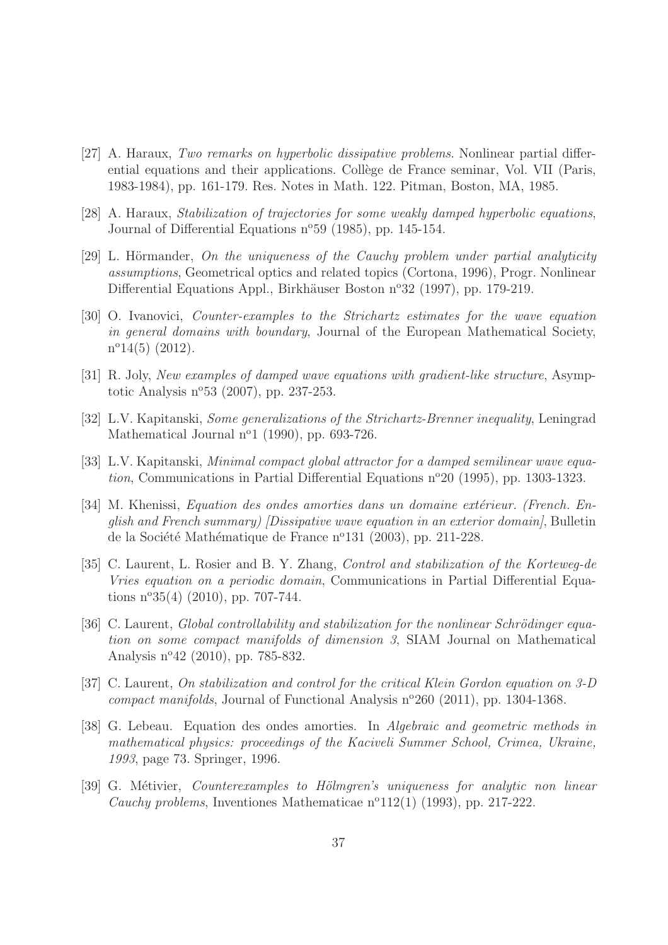- [27] A. Haraux, Two remarks on hyperbolic dissipative problems. Nonlinear partial differential equations and their applications. Collège de France seminar, Vol. VII (Paris, 1983-1984), pp. 161-179. Res. Notes in Math. 122. Pitman, Boston, MA, 1985.
- [28] A. Haraux, Stabilization of trajectories for some weakly damped hyperbolic equations, Journal of Differential Equations n°59 (1985), pp. 145-154.
- $[29]$  L. Hörmander, On the uniqueness of the Cauchy problem under partial analyticity assumptions, Geometrical optics and related topics (Cortona, 1996), Progr. Nonlinear Differential Equations Appl., Birkhäuser Boston n<sup>o</sup>32 (1997), pp. 179-219.
- [30] O. Ivanovici, Counter-examples to the Strichartz estimates for the wave equation in general domains with boundary, Journal of the European Mathematical Society,  $n^{\circ}14(5)$  (2012).
- [31] R. Joly, New examples of damped wave equations with gradient-like structure, Asymptotic Analysis  $n^{o}53$  (2007), pp. 237-253.
- [32] L.V. Kapitanski, Some generalizations of the Strichartz-Brenner inequality, Leningrad Mathematical Journal  $n^o1$  (1990), pp. 693-726.
- [33] L.V. Kapitanski, Minimal compact global attractor for a damped semilinear wave equation, Communications in Partial Differential Equations  $n^{\circ}20$  (1995), pp. 1303-1323.
- [34] M. Khenissi, Equation des ondes amorties dans un domaine extérieur. (French. English and French summary) [Dissipative wave equation in an exterior domain], Bulletin de la Société Mathématique de France n<sup>o</sup>131 (2003), pp. 211-228.
- [35] C. Laurent, L. Rosier and B. Y. Zhang, Control and stabilization of the Korteweg-de Vries equation on a periodic domain, Communications in Partial Differential Equations  $n^{\circ}35(4)$  (2010), pp. 707-744.
- $[36]$  C. Laurent, *Global controllability and stabilization for the nonlinear Schrödinger equa*tion on some compact manifolds of dimension 3, SIAM Journal on Mathematical Analysis n°42 (2010), pp. 785-832.
- [37] C. Laurent, On stabilization and control for the critical Klein Gordon equation on 3-D compact manifolds, Journal of Functional Analysis  $n^{\circ}260$  (2011), pp. 1304-1368.
- [38] G. Lebeau. Equation des ondes amorties. In Algebraic and geometric methods in mathematical physics: proceedings of the Kaciveli Summer School, Crimea, Ukraine, 1993, page 73. Springer, 1996.
- [39] G. Métivier, *Counterexamples to Hölmgren's uniqueness for analytic non linear* Cauchy problems, Inventiones Mathematicae  $n^o(12(1))$  (1993), pp. 217-222.